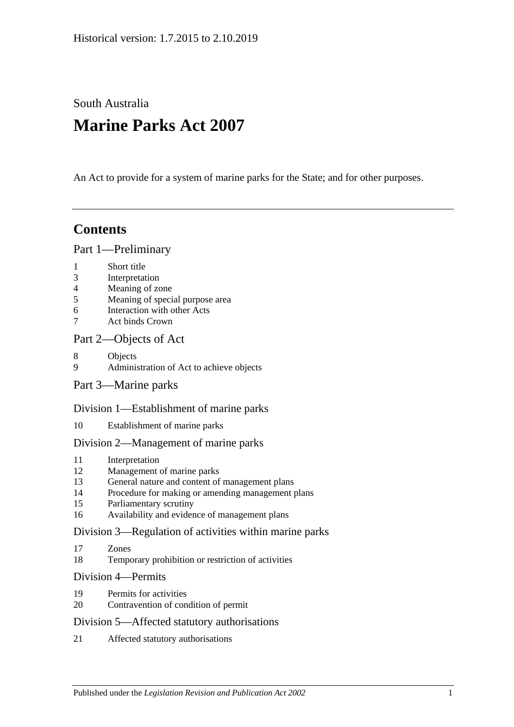South Australia

# **Marine Parks Act 2007**

An Act to provide for a system of marine parks for the State; and for other purposes.

## **Contents**

#### [Part 1—Preliminary](#page-2-0)

- 1 [Short title](#page-2-1)
- 3 [Interpretation](#page-2-2)
- 4 [Meaning of zone](#page-4-0)
- 5 [Meaning of special purpose area](#page-5-0)
- 6 [Interaction with other Acts](#page-5-1)
- 7 [Act binds Crown](#page-5-2)

### [Part 2—Objects of Act](#page-6-0)

- 8 [Objects](#page-6-1)
- 9 [Administration of Act to achieve objects](#page-7-0)
- [Part 3—Marine parks](#page-7-1)

#### [Division 1—Establishment of marine parks](#page-7-2)

10 [Establishment of marine parks](#page-7-3)

#### [Division 2—Management of marine parks](#page-9-0)

- 11 [Interpretation](#page-9-1)
- 12 [Management of marine parks](#page-9-2)
- 13 [General nature and content of management plans](#page-9-3)
- 14 [Procedure for making or amending management plans](#page-10-0)
- 15 [Parliamentary scrutiny](#page-12-0)
- 16 [Availability and evidence of management plans](#page-12-1)

#### [Division 3—Regulation of activities within marine parks](#page-12-2)

- 17 [Zones](#page-12-3)
- 18 [Temporary prohibition or restriction of activities](#page-13-0)

#### [Division 4—Permits](#page-13-1)

- 19 [Permits for activities](#page-13-2)
- 20 [Contravention of condition of permit](#page-14-0)

#### [Division 5—Affected statutory authorisations](#page-15-0)

21 [Affected statutory authorisations](#page-15-1)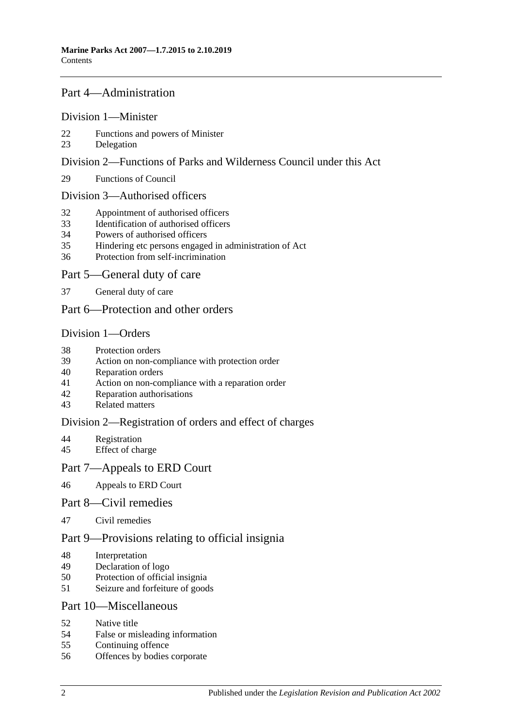#### [Part 4—Administration](#page-15-2)

#### [Division 1—Minister](#page-15-3)

- [Functions and powers of Minister](#page-15-4)
- [Delegation](#page-16-0)

#### [Division 2—Functions of Parks and Wilderness Council under this Act](#page-16-1)

[Functions of Council](#page-16-2)

#### [Division 3—Authorised officers](#page-17-0)

- [Appointment of authorised officers](#page-17-1)
- [Identification of authorised officers](#page-17-2)
- [Powers of authorised officers](#page-18-0)
- [Hindering etc persons engaged in administration of Act](#page-19-0)
- [Protection from self-incrimination](#page-20-0)

#### [Part 5—General duty of care](#page-20-1)

[General duty of care](#page-20-2)

### [Part 6—Protection and other orders](#page-21-0)

#### [Division 1—Orders](#page-21-1)

- [Protection orders](#page-21-2)
- [Action on non-compliance with protection order](#page-22-0)
- [Reparation orders](#page-22-1)
- [Action on non-compliance with a reparation order](#page-24-0)
- [Reparation authorisations](#page-24-1)
- [Related matters](#page-25-0)

#### [Division 2—Registration of orders and effect of charges](#page-26-0)

- [Registration](#page-26-1)<br>45 Effect of cha
- [Effect of charge](#page-27-0)

#### [Part 7—Appeals to ERD Court](#page-27-1)

[Appeals to ERD Court](#page-27-2)

#### [Part 8—Civil remedies](#page-28-0)

[Civil remedies](#page-28-1)

## [Part 9—Provisions relating to official insignia](#page-31-0)

- [Interpretation](#page-31-1)
- [Declaration of logo](#page-32-0)
- [Protection of official insignia](#page-32-1)
- [Seizure and forfeiture of goods](#page-32-2)

#### [Part 10—Miscellaneous](#page-33-0)

- [Native title](#page-33-1)
- [False or misleading information](#page-33-2)
- [Continuing offence](#page-33-3)
- [Offences by bodies corporate](#page-34-0)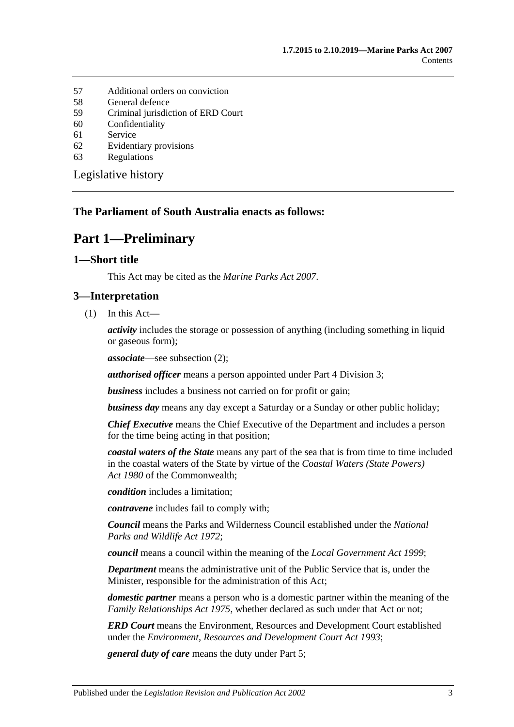- 57 [Additional orders on conviction](#page-34-1)
- 58 [General defence](#page-34-2)<br>59 Criminal jurisdic
- 59 [Criminal jurisdiction of ERD Court](#page-34-3)
- 60 [Confidentiality](#page-34-4)
- 61 [Service](#page-35-0)
- 62 [Evidentiary provisions](#page-35-1)
- 63 [Regulations](#page-36-0)

[Legislative history](#page-38-0)

#### <span id="page-2-0"></span>**The Parliament of South Australia enacts as follows:**

## **Part 1—Preliminary**

#### <span id="page-2-1"></span>**1—Short title**

This Act may be cited as the *Marine Parks Act 2007*.

#### <span id="page-2-2"></span>**3—Interpretation**

(1) In this Act—

*activity* includes the storage or possession of anything (including something in liquid or gaseous form);

*associate*—see [subsection](#page-3-0) (2);

*authorised officer* means a person appointed under [Part 4 Division 3;](#page-17-0)

*business* includes a business not carried on for profit or gain;

*business day* means any day except a Saturday or a Sunday or other public holiday;

*Chief Executive* means the Chief Executive of the Department and includes a person for the time being acting in that position;

*coastal waters of the State* means any part of the sea that is from time to time included in the coastal waters of the State by virtue of the *Coastal Waters (State Powers) Act 1980* of the Commonwealth;

*condition* includes a limitation;

*contravene* includes fail to comply with;

*Council* means the Parks and Wilderness Council established under the *[National](http://www.legislation.sa.gov.au/index.aspx?action=legref&type=act&legtitle=National%20Parks%20and%20Wildlife%20Act%201972)  [Parks and Wildlife Act](http://www.legislation.sa.gov.au/index.aspx?action=legref&type=act&legtitle=National%20Parks%20and%20Wildlife%20Act%201972) 1972*;

*council* means a council within the meaning of the *[Local Government Act](http://www.legislation.sa.gov.au/index.aspx?action=legref&type=act&legtitle=Local%20Government%20Act%201999) 1999*;

*Department* means the administrative unit of the Public Service that is, under the Minister, responsible for the administration of this Act;

*domestic partner* means a person who is a domestic partner within the meaning of the *[Family Relationships Act](http://www.legislation.sa.gov.au/index.aspx?action=legref&type=act&legtitle=Family%20Relationships%20Act%201975) 1975*, whether declared as such under that Act or not;

*ERD Court* means the Environment, Resources and Development Court established under the *[Environment, Resources and Development Court Act](http://www.legislation.sa.gov.au/index.aspx?action=legref&type=act&legtitle=Environment%20Resources%20and%20Development%20Court%20Act%201993) 1993*;

*general duty of care* means the duty under [Part 5;](#page-20-1)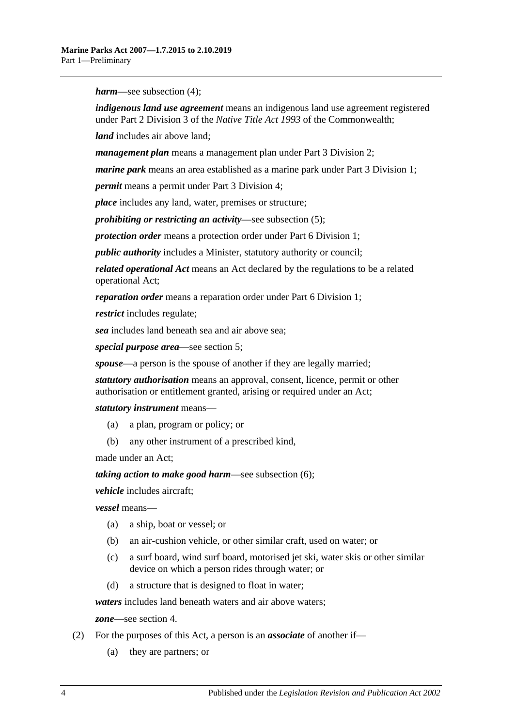*harm*—see [subsection](#page-4-1) (4);

*indigenous land use agreement* means an indigenous land use agreement registered under Part 2 Division 3 of the *Native Title Act 1993* of the Commonwealth;

*land* includes air above land;

*management plan* means a management plan under [Part 3 Division 2;](#page-9-0)

*marine park* means an area established as a marine park under [Part 3 Division 1;](#page-7-2)

*permit* means a permit under [Part 3 Division 4;](#page-13-1)

*place* includes any land, water, premises or structure;

*prohibiting or restricting an activity*—see [subsection](#page-4-2) (5);

*protection order* means a protection order under [Part 6 Division 1;](#page-21-1)

*public authority* includes a Minister, statutory authority or council;

*related operational Act* means an Act declared by the regulations to be a related operational Act;

*reparation order* means a reparation order under [Part 6 Division 1;](#page-21-1)

*restrict* includes regulate;

*sea* includes land beneath sea and air above sea;

*special purpose area*—see [section](#page-5-0) 5;

*spouse*—a person is the spouse of another if they are legally married;

*statutory authorisation* means an approval, consent, licence, permit or other authorisation or entitlement granted, arising or required under an Act;

*statutory instrument* means—

- (a) a plan, program or policy; or
- (b) any other instrument of a prescribed kind,

made under an Act;

*taking action to make good harm*—see [subsection](#page-4-3) (6);

*vehicle* includes aircraft;

*vessel* means—

- (a) a ship, boat or vessel; or
- (b) an air-cushion vehicle, or other similar craft, used on water; or
- (c) a surf board, wind surf board, motorised jet ski, water skis or other similar device on which a person rides through water; or
- (d) a structure that is designed to float in water;

*waters* includes land beneath waters and air above waters;

*zone*—see [section](#page-4-0) 4.

- <span id="page-3-0"></span>(2) For the purposes of this Act, a person is an *associate* of another if—
	- (a) they are partners; or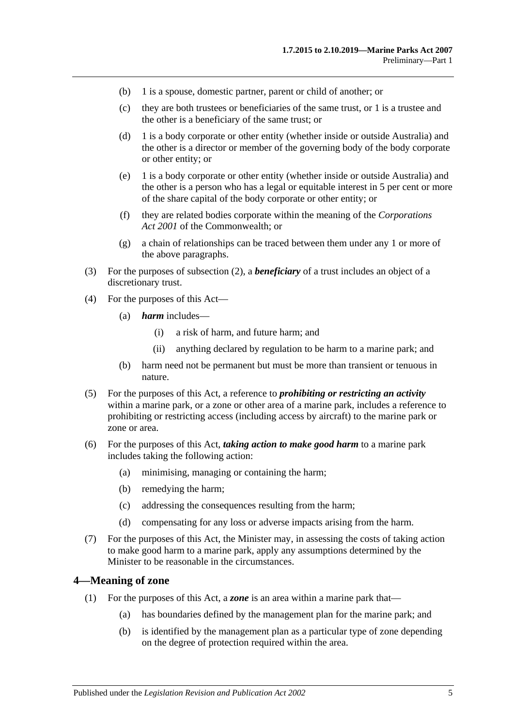- (b) 1 is a spouse, domestic partner, parent or child of another; or
- (c) they are both trustees or beneficiaries of the same trust, or 1 is a trustee and the other is a beneficiary of the same trust; or
- (d) 1 is a body corporate or other entity (whether inside or outside Australia) and the other is a director or member of the governing body of the body corporate or other entity; or
- (e) 1 is a body corporate or other entity (whether inside or outside Australia) and the other is a person who has a legal or equitable interest in 5 per cent or more of the share capital of the body corporate or other entity; or
- (f) they are related bodies corporate within the meaning of the *Corporations Act 2001* of the Commonwealth; or
- (g) a chain of relationships can be traced between them under any 1 or more of the above paragraphs.
- (3) For the purposes of [subsection](#page-3-0) (2), a *beneficiary* of a trust includes an object of a discretionary trust.
- <span id="page-4-1"></span>(4) For the purposes of this Act—
	- (a) *harm* includes—
		- (i) a risk of harm, and future harm; and
		- (ii) anything declared by regulation to be harm to a marine park; and
	- (b) harm need not be permanent but must be more than transient or tenuous in nature.
- <span id="page-4-2"></span>(5) For the purposes of this Act, a reference to *prohibiting or restricting an activity* within a marine park, or a zone or other area of a marine park, includes a reference to prohibiting or restricting access (including access by aircraft) to the marine park or zone or area.
- <span id="page-4-3"></span>(6) For the purposes of this Act, *taking action to make good harm* to a marine park includes taking the following action:
	- (a) minimising, managing or containing the harm;
	- (b) remedying the harm;
	- (c) addressing the consequences resulting from the harm;
	- (d) compensating for any loss or adverse impacts arising from the harm.
- (7) For the purposes of this Act, the Minister may, in assessing the costs of taking action to make good harm to a marine park, apply any assumptions determined by the Minister to be reasonable in the circumstances.

#### <span id="page-4-0"></span>**4—Meaning of zone**

- (1) For the purposes of this Act, a *zone* is an area within a marine park that—
	- (a) has boundaries defined by the management plan for the marine park; and
	- (b) is identified by the management plan as a particular type of zone depending on the degree of protection required within the area.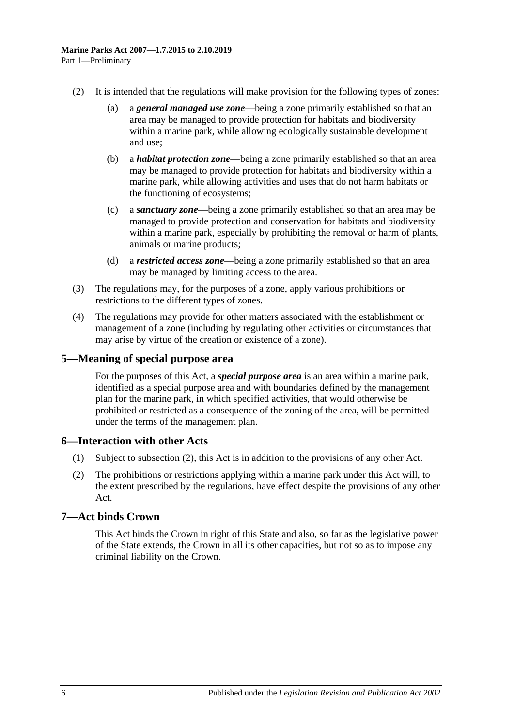- (2) It is intended that the regulations will make provision for the following types of zones:
	- (a) a *general managed use zone*—being a zone primarily established so that an area may be managed to provide protection for habitats and biodiversity within a marine park, while allowing ecologically sustainable development and use;
	- (b) a *habitat protection zone*—being a zone primarily established so that an area may be managed to provide protection for habitats and biodiversity within a marine park, while allowing activities and uses that do not harm habitats or the functioning of ecosystems;
	- (c) a *sanctuary zone*—being a zone primarily established so that an area may be managed to provide protection and conservation for habitats and biodiversity within a marine park, especially by prohibiting the removal or harm of plants, animals or marine products;
	- (d) a *restricted access zone*—being a zone primarily established so that an area may be managed by limiting access to the area.
- (3) The regulations may, for the purposes of a zone, apply various prohibitions or restrictions to the different types of zones.
- (4) The regulations may provide for other matters associated with the establishment or management of a zone (including by regulating other activities or circumstances that may arise by virtue of the creation or existence of a zone).

#### <span id="page-5-0"></span>**5—Meaning of special purpose area**

For the purposes of this Act, a *special purpose area* is an area within a marine park, identified as a special purpose area and with boundaries defined by the management plan for the marine park, in which specified activities, that would otherwise be prohibited or restricted as a consequence of the zoning of the area, will be permitted under the terms of the management plan.

#### <span id="page-5-1"></span>**6—Interaction with other Acts**

- (1) Subject to [subsection](#page-5-3) (2), this Act is in addition to the provisions of any other Act.
- <span id="page-5-3"></span>(2) The prohibitions or restrictions applying within a marine park under this Act will, to the extent prescribed by the regulations, have effect despite the provisions of any other Act.

## <span id="page-5-2"></span>**7—Act binds Crown**

This Act binds the Crown in right of this State and also, so far as the legislative power of the State extends, the Crown in all its other capacities, but not so as to impose any criminal liability on the Crown.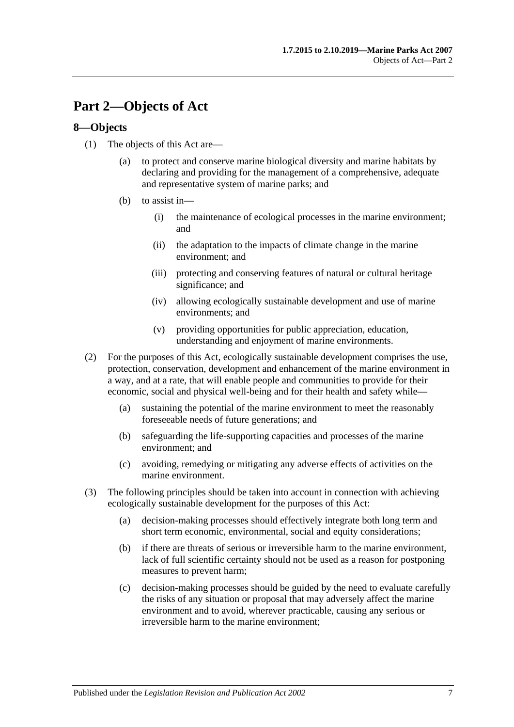## <span id="page-6-0"></span>**Part 2—Objects of Act**

### <span id="page-6-1"></span>**8—Objects**

- (1) The objects of this Act are—
	- (a) to protect and conserve marine biological diversity and marine habitats by declaring and providing for the management of a comprehensive, adequate and representative system of marine parks; and
	- (b) to assist in—
		- (i) the maintenance of ecological processes in the marine environment; and
		- (ii) the adaptation to the impacts of climate change in the marine environment; and
		- (iii) protecting and conserving features of natural or cultural heritage significance; and
		- (iv) allowing ecologically sustainable development and use of marine environments; and
		- (v) providing opportunities for public appreciation, education, understanding and enjoyment of marine environments.
- (2) For the purposes of this Act, ecologically sustainable development comprises the use, protection, conservation, development and enhancement of the marine environment in a way, and at a rate, that will enable people and communities to provide for their economic, social and physical well-being and for their health and safety while—
	- (a) sustaining the potential of the marine environment to meet the reasonably foreseeable needs of future generations; and
	- (b) safeguarding the life-supporting capacities and processes of the marine environment; and
	- (c) avoiding, remedying or mitigating any adverse effects of activities on the marine environment.
- (3) The following principles should be taken into account in connection with achieving ecologically sustainable development for the purposes of this Act:
	- (a) decision-making processes should effectively integrate both long term and short term economic, environmental, social and equity considerations;
	- (b) if there are threats of serious or irreversible harm to the marine environment, lack of full scientific certainty should not be used as a reason for postponing measures to prevent harm;
	- (c) decision-making processes should be guided by the need to evaluate carefully the risks of any situation or proposal that may adversely affect the marine environment and to avoid, wherever practicable, causing any serious or irreversible harm to the marine environment;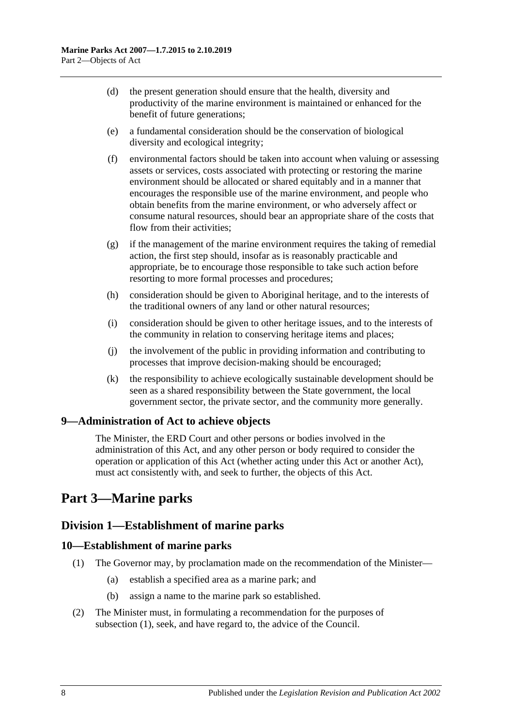- (d) the present generation should ensure that the health, diversity and productivity of the marine environment is maintained or enhanced for the benefit of future generations;
- (e) a fundamental consideration should be the conservation of biological diversity and ecological integrity;
- (f) environmental factors should be taken into account when valuing or assessing assets or services, costs associated with protecting or restoring the marine environment should be allocated or shared equitably and in a manner that encourages the responsible use of the marine environment, and people who obtain benefits from the marine environment, or who adversely affect or consume natural resources, should bear an appropriate share of the costs that flow from their activities;
- (g) if the management of the marine environment requires the taking of remedial action, the first step should, insofar as is reasonably practicable and appropriate, be to encourage those responsible to take such action before resorting to more formal processes and procedures;
- (h) consideration should be given to Aboriginal heritage, and to the interests of the traditional owners of any land or other natural resources;
- (i) consideration should be given to other heritage issues, and to the interests of the community in relation to conserving heritage items and places;
- (j) the involvement of the public in providing information and contributing to processes that improve decision-making should be encouraged;
- (k) the responsibility to achieve ecologically sustainable development should be seen as a shared responsibility between the State government, the local government sector, the private sector, and the community more generally.

## <span id="page-7-0"></span>**9—Administration of Act to achieve objects**

The Minister, the ERD Court and other persons or bodies involved in the administration of this Act, and any other person or body required to consider the operation or application of this Act (whether acting under this Act or another Act), must act consistently with, and seek to further, the objects of this Act.

## <span id="page-7-1"></span>**Part 3—Marine parks**

## <span id="page-7-2"></span>**Division 1—Establishment of marine parks**

#### <span id="page-7-4"></span><span id="page-7-3"></span>**10—Establishment of marine parks**

- (1) The Governor may, by proclamation made on the recommendation of the Minister—
	- (a) establish a specified area as a marine park; and
	- (b) assign a name to the marine park so established.
- (2) The Minister must, in formulating a recommendation for the purposes of [subsection](#page-7-4) (1), seek, and have regard to, the advice of the Council.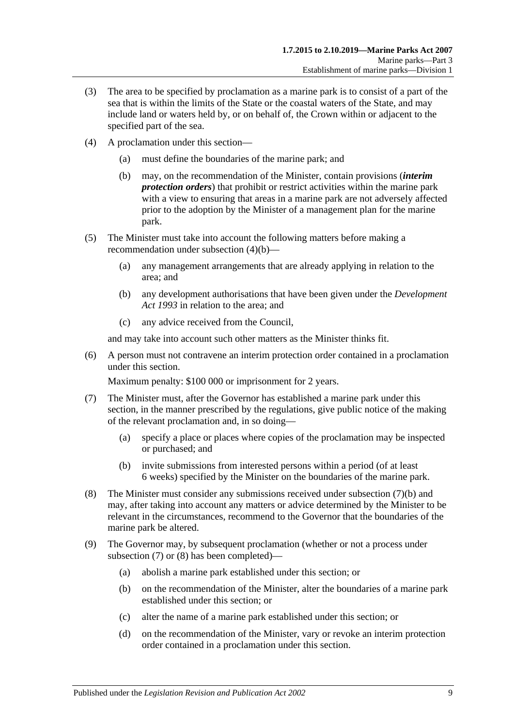- (3) The area to be specified by proclamation as a marine park is to consist of a part of the sea that is within the limits of the State or the coastal waters of the State, and may include land or waters held by, or on behalf of, the Crown within or adjacent to the specified part of the sea.
- <span id="page-8-0"></span>(4) A proclamation under this section—
	- (a) must define the boundaries of the marine park; and
	- (b) may, on the recommendation of the Minister, contain provisions (*interim protection orders*) that prohibit or restrict activities within the marine park with a view to ensuring that areas in a marine park are not adversely affected prior to the adoption by the Minister of a management plan for the marine park.
- (5) The Minister must take into account the following matters before making a recommendation under [subsection](#page-8-0) (4)(b)—
	- (a) any management arrangements that are already applying in relation to the area; and
	- (b) any development authorisations that have been given under the *[Development](http://www.legislation.sa.gov.au/index.aspx?action=legref&type=act&legtitle=Development%20Act%201993)  Act [1993](http://www.legislation.sa.gov.au/index.aspx?action=legref&type=act&legtitle=Development%20Act%201993)* in relation to the area; and
	- (c) any advice received from the Council,

and may take into account such other matters as the Minister thinks fit.

(6) A person must not contravene an interim protection order contained in a proclamation under this section.

Maximum penalty: \$100 000 or imprisonment for 2 years.

- <span id="page-8-2"></span>(7) The Minister must, after the Governor has established a marine park under this section, in the manner prescribed by the regulations, give public notice of the making of the relevant proclamation and, in so doing—
	- (a) specify a place or places where copies of the proclamation may be inspected or purchased; and
	- (b) invite submissions from interested persons within a period (of at least 6 weeks) specified by the Minister on the boundaries of the marine park.
- <span id="page-8-3"></span><span id="page-8-1"></span>(8) The Minister must consider any submissions received under [subsection](#page-8-1) (7)(b) and may, after taking into account any matters or advice determined by the Minister to be relevant in the circumstances, recommend to the Governor that the boundaries of the marine park be altered.
- <span id="page-8-7"></span><span id="page-8-6"></span><span id="page-8-5"></span><span id="page-8-4"></span>(9) The Governor may, by subsequent proclamation (whether or not a process under [subsection](#page-8-2) (7) or [\(8\)](#page-8-3) has been completed)—
	- (a) abolish a marine park established under this section; or
	- (b) on the recommendation of the Minister, alter the boundaries of a marine park established under this section; or
	- (c) alter the name of a marine park established under this section; or
	- (d) on the recommendation of the Minister, vary or revoke an interim protection order contained in a proclamation under this section.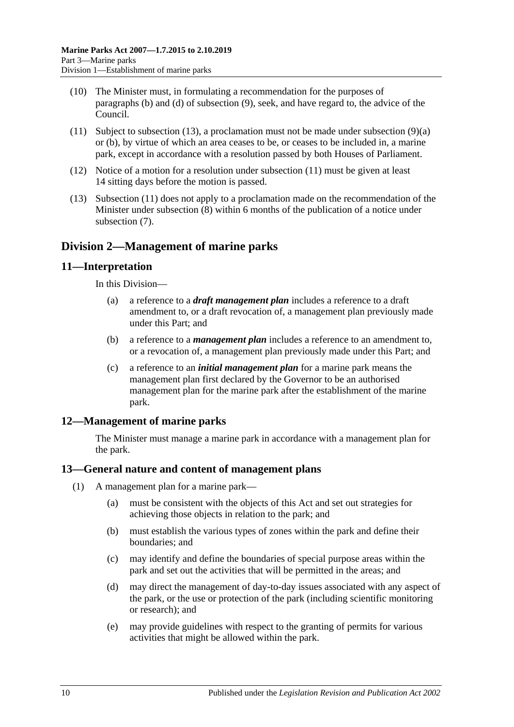- (10) The Minister must, in formulating a recommendation for the purposes of [paragraphs](#page-8-4) (b) and [\(d\)](#page-8-5) of [subsection](#page-8-6) (9), seek, and have regard to, the advice of the Council.
- <span id="page-9-5"></span>(11) Subject to [subsection](#page-9-4) (13), a proclamation must not be made under [subsection](#page-8-7) (9)(a) or [\(b\),](#page-8-4) by virtue of which an area ceases to be, or ceases to be included in, a marine park, except in accordance with a resolution passed by both Houses of Parliament.
- (12) Notice of a motion for a resolution under [subsection](#page-9-5) (11) must be given at least 14 sitting days before the motion is passed.
- <span id="page-9-4"></span>(13) [Subsection](#page-9-5) (11) does not apply to a proclamation made on the recommendation of the Minister under [subsection](#page-8-3) (8) within 6 months of the publication of a notice under [subsection](#page-8-2) (7).

## <span id="page-9-0"></span>**Division 2—Management of marine parks**

#### <span id="page-9-1"></span>**11—Interpretation**

In this Division—

- (a) a reference to a *draft management plan* includes a reference to a draft amendment to, or a draft revocation of, a management plan previously made under this Part; and
- (b) a reference to a *management plan* includes a reference to an amendment to, or a revocation of, a management plan previously made under this Part; and
- (c) a reference to an *initial management plan* for a marine park means the management plan first declared by the Governor to be an authorised management plan for the marine park after the establishment of the marine park.

## <span id="page-9-2"></span>**12—Management of marine parks**

The Minister must manage a marine park in accordance with a management plan for the park.

#### <span id="page-9-3"></span>**13—General nature and content of management plans**

- (1) A management plan for a marine park—
	- (a) must be consistent with the objects of this Act and set out strategies for achieving those objects in relation to the park; and
	- (b) must establish the various types of zones within the park and define their boundaries; and
	- (c) may identify and define the boundaries of special purpose areas within the park and set out the activities that will be permitted in the areas; and
	- (d) may direct the management of day-to-day issues associated with any aspect of the park, or the use or protection of the park (including scientific monitoring or research); and
	- (e) may provide guidelines with respect to the granting of permits for various activities that might be allowed within the park.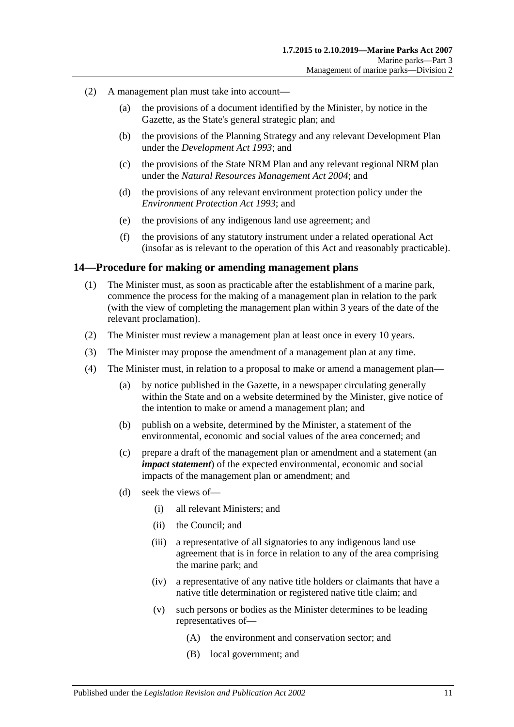- (2) A management plan must take into account—
	- (a) the provisions of a document identified by the Minister, by notice in the Gazette, as the State's general strategic plan; and
	- (b) the provisions of the Planning Strategy and any relevant Development Plan under the *[Development Act](http://www.legislation.sa.gov.au/index.aspx?action=legref&type=act&legtitle=Development%20Act%201993) 1993*; and
	- (c) the provisions of the State NRM Plan and any relevant regional NRM plan under the *[Natural Resources Management Act](http://www.legislation.sa.gov.au/index.aspx?action=legref&type=act&legtitle=Natural%20Resources%20Management%20Act%202004) 2004*; and
	- (d) the provisions of any relevant environment protection policy under the *[Environment Protection Act](http://www.legislation.sa.gov.au/index.aspx?action=legref&type=act&legtitle=Environment%20Protection%20Act%201993) 1993*; and
	- (e) the provisions of any indigenous land use agreement; and
	- (f) the provisions of any statutory instrument under a related operational Act (insofar as is relevant to the operation of this Act and reasonably practicable).

#### <span id="page-10-0"></span>**14—Procedure for making or amending management plans**

- (1) The Minister must, as soon as practicable after the establishment of a marine park, commence the process for the making of a management plan in relation to the park (with the view of completing the management plan within 3 years of the date of the relevant proclamation).
- (2) The Minister must review a management plan at least once in every 10 years.
- (3) The Minister may propose the amendment of a management plan at any time.
- (4) The Minister must, in relation to a proposal to make or amend a management plan—
	- (a) by notice published in the Gazette, in a newspaper circulating generally within the State and on a website determined by the Minister, give notice of the intention to make or amend a management plan; and
	- (b) publish on a website, determined by the Minister, a statement of the environmental, economic and social values of the area concerned; and
	- (c) prepare a draft of the management plan or amendment and a statement (an *impact statement*) of the expected environmental, economic and social impacts of the management plan or amendment; and
	- (d) seek the views of—
		- (i) all relevant Ministers; and
		- (ii) the Council; and
		- (iii) a representative of all signatories to any indigenous land use agreement that is in force in relation to any of the area comprising the marine park; and
		- (iv) a representative of any native title holders or claimants that have a native title determination or registered native title claim; and
		- (v) such persons or bodies as the Minister determines to be leading representatives of—
			- (A) the environment and conservation sector; and
			- (B) local government; and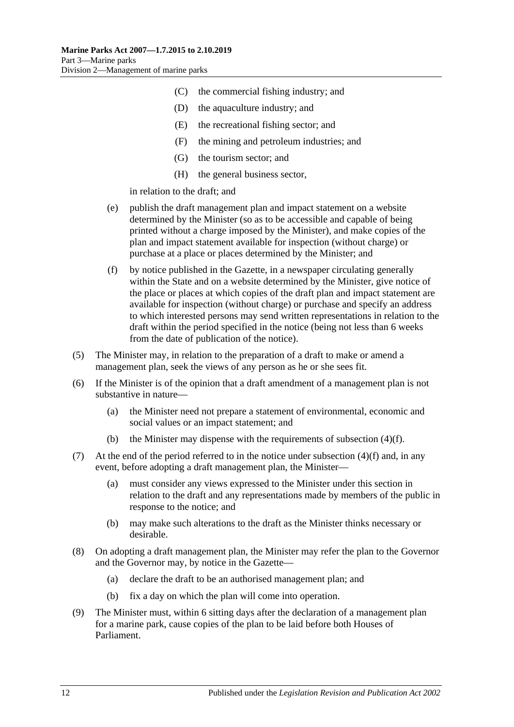- (C) the commercial fishing industry; and
- (D) the aquaculture industry; and
- (E) the recreational fishing sector; and
- (F) the mining and petroleum industries; and
- (G) the tourism sector; and
- (H) the general business sector,

in relation to the draft; and

- (e) publish the draft management plan and impact statement on a website determined by the Minister (so as to be accessible and capable of being printed without a charge imposed by the Minister), and make copies of the plan and impact statement available for inspection (without charge) or purchase at a place or places determined by the Minister; and
- <span id="page-11-0"></span>(f) by notice published in the Gazette, in a newspaper circulating generally within the State and on a website determined by the Minister, give notice of the place or places at which copies of the draft plan and impact statement are available for inspection (without charge) or purchase and specify an address to which interested persons may send written representations in relation to the draft within the period specified in the notice (being not less than 6 weeks from the date of publication of the notice).
- (5) The Minister may, in relation to the preparation of a draft to make or amend a management plan, seek the views of any person as he or she sees fit.
- (6) If the Minister is of the opinion that a draft amendment of a management plan is not substantive in nature—
	- (a) the Minister need not prepare a statement of environmental, economic and social values or an impact statement; and
	- (b) the Minister may dispense with the requirements of [subsection](#page-11-0)  $(4)(f)$ .
- (7) At the end of the period referred to in the notice under [subsection](#page-11-0)  $(4)(f)$  and, in any event, before adopting a draft management plan, the Minister—
	- (a) must consider any views expressed to the Minister under this section in relation to the draft and any representations made by members of the public in response to the notice; and
	- (b) may make such alterations to the draft as the Minister thinks necessary or desirable.
- (8) On adopting a draft management plan, the Minister may refer the plan to the Governor and the Governor may, by notice in the Gazette—
	- (a) declare the draft to be an authorised management plan; and
	- (b) fix a day on which the plan will come into operation.
- (9) The Minister must, within 6 sitting days after the declaration of a management plan for a marine park, cause copies of the plan to be laid before both Houses of Parliament.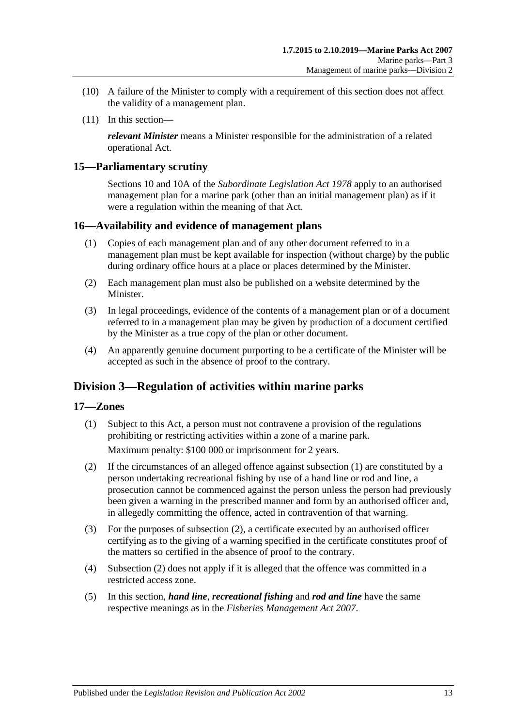- (10) A failure of the Minister to comply with a requirement of this section does not affect the validity of a management plan.
- (11) In this section—

*relevant Minister* means a Minister responsible for the administration of a related operational Act.

#### <span id="page-12-0"></span>**15—Parliamentary scrutiny**

Sections 10 and 10A of the *[Subordinate Legislation Act](http://www.legislation.sa.gov.au/index.aspx?action=legref&type=act&legtitle=Subordinate%20Legislation%20Act%201978) 1978* apply to an authorised management plan for a marine park (other than an initial management plan) as if it were a regulation within the meaning of that Act.

#### <span id="page-12-1"></span>**16—Availability and evidence of management plans**

- (1) Copies of each management plan and of any other document referred to in a management plan must be kept available for inspection (without charge) by the public during ordinary office hours at a place or places determined by the Minister.
- (2) Each management plan must also be published on a website determined by the **Minister**
- (3) In legal proceedings, evidence of the contents of a management plan or of a document referred to in a management plan may be given by production of a document certified by the Minister as a true copy of the plan or other document.
- (4) An apparently genuine document purporting to be a certificate of the Minister will be accepted as such in the absence of proof to the contrary.

## <span id="page-12-2"></span>**Division 3—Regulation of activities within marine parks**

#### <span id="page-12-4"></span><span id="page-12-3"></span>**17—Zones**

(1) Subject to this Act, a person must not contravene a provision of the regulations prohibiting or restricting activities within a zone of a marine park.

Maximum penalty: \$100 000 or imprisonment for 2 years.

- <span id="page-12-5"></span>(2) If the circumstances of an alleged offence against [subsection](#page-12-4) (1) are constituted by a person undertaking recreational fishing by use of a hand line or rod and line, a prosecution cannot be commenced against the person unless the person had previously been given a warning in the prescribed manner and form by an authorised officer and, in allegedly committing the offence, acted in contravention of that warning.
- (3) For the purposes of [subsection](#page-12-5) (2), a certificate executed by an authorised officer certifying as to the giving of a warning specified in the certificate constitutes proof of the matters so certified in the absence of proof to the contrary.
- (4) [Subsection](#page-12-5) (2) does not apply if it is alleged that the offence was committed in a restricted access zone.
- (5) In this section, *hand line*, *recreational fishing* and *rod and line* have the same respective meanings as in the *[Fisheries Management Act](http://www.legislation.sa.gov.au/index.aspx?action=legref&type=act&legtitle=Fisheries%20Management%20Act%202007) 2007*.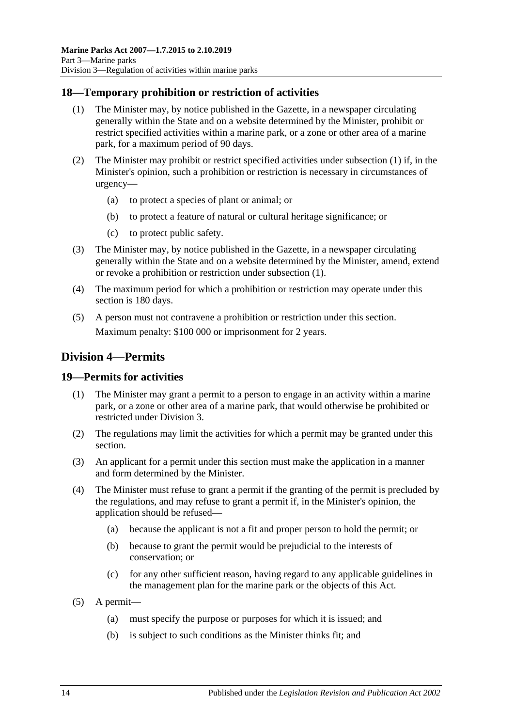#### <span id="page-13-3"></span><span id="page-13-0"></span>**18—Temporary prohibition or restriction of activities**

- (1) The Minister may, by notice published in the Gazette, in a newspaper circulating generally within the State and on a website determined by the Minister, prohibit or restrict specified activities within a marine park, or a zone or other area of a marine park, for a maximum period of 90 days.
- (2) The Minister may prohibit or restrict specified activities under [subsection](#page-13-3) (1) if, in the Minister's opinion, such a prohibition or restriction is necessary in circumstances of urgency—
	- (a) to protect a species of plant or animal; or
	- (b) to protect a feature of natural or cultural heritage significance; or
	- (c) to protect public safety.
- (3) The Minister may, by notice published in the Gazette, in a newspaper circulating generally within the State and on a website determined by the Minister, amend, extend or revoke a prohibition or restriction under [subsection](#page-13-3) (1).
- (4) The maximum period for which a prohibition or restriction may operate under this section is 180 days.
- (5) A person must not contravene a prohibition or restriction under this section. Maximum penalty: \$100 000 or imprisonment for 2 years.

## <span id="page-13-1"></span>**Division 4—Permits**

#### <span id="page-13-2"></span>**19—Permits for activities**

- (1) The Minister may grant a permit to a person to engage in an activity within a marine park, or a zone or other area of a marine park, that would otherwise be prohibited or restricted under [Division 3.](#page-12-2)
- (2) The regulations may limit the activities for which a permit may be granted under this section.
- (3) An applicant for a permit under this section must make the application in a manner and form determined by the Minister.
- (4) The Minister must refuse to grant a permit if the granting of the permit is precluded by the regulations, and may refuse to grant a permit if, in the Minister's opinion, the application should be refused—
	- (a) because the applicant is not a fit and proper person to hold the permit; or
	- (b) because to grant the permit would be prejudicial to the interests of conservation; or
	- (c) for any other sufficient reason, having regard to any applicable guidelines in the management plan for the marine park or the objects of this Act.
- (5) A permit—
	- (a) must specify the purpose or purposes for which it is issued; and
	- (b) is subject to such conditions as the Minister thinks fit; and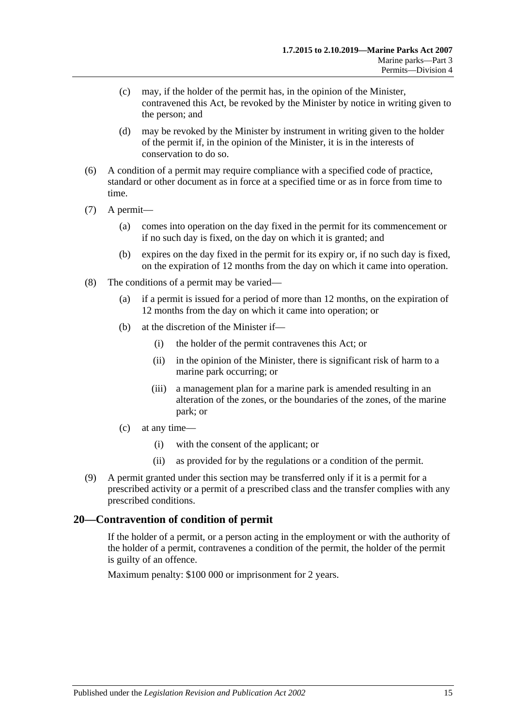- (c) may, if the holder of the permit has, in the opinion of the Minister, contravened this Act, be revoked by the Minister by notice in writing given to the person; and
- (d) may be revoked by the Minister by instrument in writing given to the holder of the permit if, in the opinion of the Minister, it is in the interests of conservation to do so.
- (6) A condition of a permit may require compliance with a specified code of practice, standard or other document as in force at a specified time or as in force from time to time.
- (7) A permit—
	- (a) comes into operation on the day fixed in the permit for its commencement or if no such day is fixed, on the day on which it is granted; and
	- (b) expires on the day fixed in the permit for its expiry or, if no such day is fixed, on the expiration of 12 months from the day on which it came into operation.
- (8) The conditions of a permit may be varied—
	- (a) if a permit is issued for a period of more than 12 months, on the expiration of 12 months from the day on which it came into operation; or
	- (b) at the discretion of the Minister if—
		- (i) the holder of the permit contravenes this Act; or
		- (ii) in the opinion of the Minister, there is significant risk of harm to a marine park occurring; or
		- (iii) a management plan for a marine park is amended resulting in an alteration of the zones, or the boundaries of the zones, of the marine park; or
	- (c) at any time—
		- (i) with the consent of the applicant; or
		- (ii) as provided for by the regulations or a condition of the permit.
- (9) A permit granted under this section may be transferred only if it is a permit for a prescribed activity or a permit of a prescribed class and the transfer complies with any prescribed conditions.

## <span id="page-14-0"></span>**20—Contravention of condition of permit**

If the holder of a permit, or a person acting in the employment or with the authority of the holder of a permit, contravenes a condition of the permit, the holder of the permit is guilty of an offence.

Maximum penalty: \$100 000 or imprisonment for 2 years.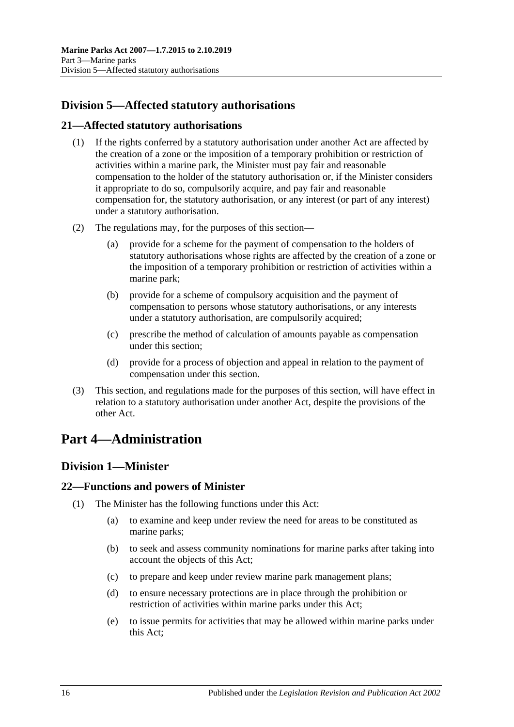## <span id="page-15-0"></span>**Division 5—Affected statutory authorisations**

### <span id="page-15-1"></span>**21—Affected statutory authorisations**

- (1) If the rights conferred by a statutory authorisation under another Act are affected by the creation of a zone or the imposition of a temporary prohibition or restriction of activities within a marine park, the Minister must pay fair and reasonable compensation to the holder of the statutory authorisation or, if the Minister considers it appropriate to do so, compulsorily acquire, and pay fair and reasonable compensation for, the statutory authorisation, or any interest (or part of any interest) under a statutory authorisation.
- (2) The regulations may, for the purposes of this section
	- provide for a scheme for the payment of compensation to the holders of statutory authorisations whose rights are affected by the creation of a zone or the imposition of a temporary prohibition or restriction of activities within a marine park;
	- (b) provide for a scheme of compulsory acquisition and the payment of compensation to persons whose statutory authorisations, or any interests under a statutory authorisation, are compulsorily acquired;
	- (c) prescribe the method of calculation of amounts payable as compensation under this section;
	- (d) provide for a process of objection and appeal in relation to the payment of compensation under this section.
- (3) This section, and regulations made for the purposes of this section, will have effect in relation to a statutory authorisation under another Act, despite the provisions of the other Act.

## <span id="page-15-2"></span>**Part 4—Administration**

## <span id="page-15-3"></span>**Division 1—Minister**

#### <span id="page-15-4"></span>**22—Functions and powers of Minister**

- (1) The Minister has the following functions under this Act:
	- (a) to examine and keep under review the need for areas to be constituted as marine parks;
	- (b) to seek and assess community nominations for marine parks after taking into account the objects of this Act;
	- (c) to prepare and keep under review marine park management plans;
	- (d) to ensure necessary protections are in place through the prohibition or restriction of activities within marine parks under this Act;
	- (e) to issue permits for activities that may be allowed within marine parks under this Act;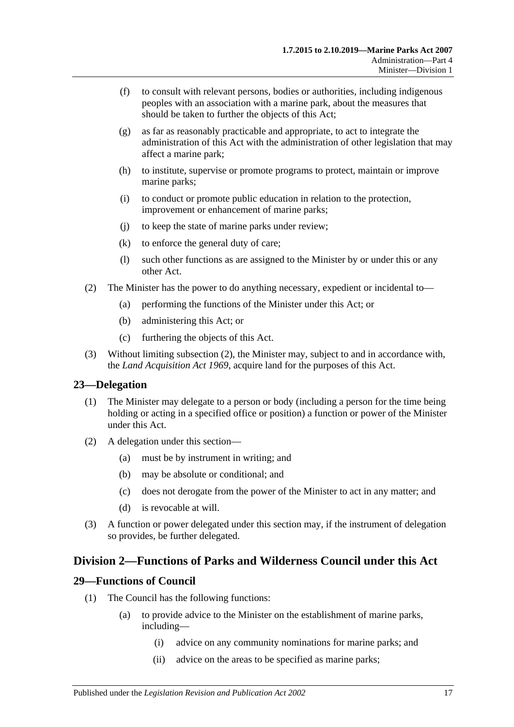- (f) to consult with relevant persons, bodies or authorities, including indigenous peoples with an association with a marine park, about the measures that should be taken to further the objects of this Act;
- (g) as far as reasonably practicable and appropriate, to act to integrate the administration of this Act with the administration of other legislation that may affect a marine park;
- (h) to institute, supervise or promote programs to protect, maintain or improve marine parks;
- (i) to conduct or promote public education in relation to the protection, improvement or enhancement of marine parks;
- (j) to keep the state of marine parks under review;
- (k) to enforce the general duty of care;
- (l) such other functions as are assigned to the Minister by or under this or any other Act.
- <span id="page-16-3"></span>(2) The Minister has the power to do anything necessary, expedient or incidental to—
	- (a) performing the functions of the Minister under this Act; or
	- (b) administering this Act; or
	- (c) furthering the objects of this Act.
- (3) Without limiting [subsection](#page-16-3) (2), the Minister may, subject to and in accordance with, the *[Land Acquisition Act](http://www.legislation.sa.gov.au/index.aspx?action=legref&type=act&legtitle=Land%20Acquisition%20Act%201969) 1969*, acquire land for the purposes of this Act.

#### <span id="page-16-0"></span>**23—Delegation**

- (1) The Minister may delegate to a person or body (including a person for the time being holding or acting in a specified office or position) a function or power of the Minister under this Act.
- (2) A delegation under this section—
	- (a) must be by instrument in writing; and
	- (b) may be absolute or conditional; and
	- (c) does not derogate from the power of the Minister to act in any matter; and
	- (d) is revocable at will.
- (3) A function or power delegated under this section may, if the instrument of delegation so provides, be further delegated.

## <span id="page-16-1"></span>**Division 2—Functions of Parks and Wilderness Council under this Act**

#### <span id="page-16-2"></span>**29—Functions of Council**

- (1) The Council has the following functions:
	- (a) to provide advice to the Minister on the establishment of marine parks, including—
		- (i) advice on any community nominations for marine parks; and
		- (ii) advice on the areas to be specified as marine parks;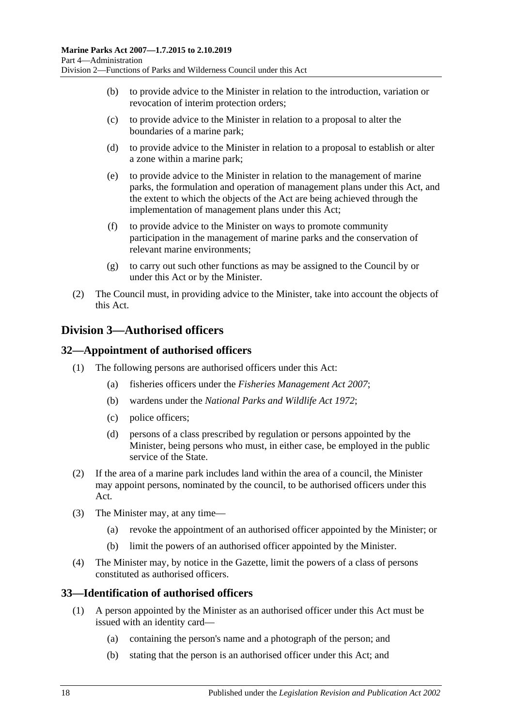- (b) to provide advice to the Minister in relation to the introduction, variation or revocation of interim protection orders;
- (c) to provide advice to the Minister in relation to a proposal to alter the boundaries of a marine park;
- (d) to provide advice to the Minister in relation to a proposal to establish or alter a zone within a marine park;
- (e) to provide advice to the Minister in relation to the management of marine parks, the formulation and operation of management plans under this Act, and the extent to which the objects of the Act are being achieved through the implementation of management plans under this Act;
- (f) to provide advice to the Minister on ways to promote community participation in the management of marine parks and the conservation of relevant marine environments;
- (g) to carry out such other functions as may be assigned to the Council by or under this Act or by the Minister.
- (2) The Council must, in providing advice to the Minister, take into account the objects of this Act.

## <span id="page-17-0"></span>**Division 3—Authorised officers**

## <span id="page-17-1"></span>**32—Appointment of authorised officers**

- (1) The following persons are authorised officers under this Act:
	- (a) fisheries officers under the *[Fisheries Management Act](http://www.legislation.sa.gov.au/index.aspx?action=legref&type=act&legtitle=Fisheries%20Management%20Act%202007) 2007*;
	- (b) wardens under the *[National Parks and Wildlife Act](http://www.legislation.sa.gov.au/index.aspx?action=legref&type=act&legtitle=National%20Parks%20and%20Wildlife%20Act%201972) 1972*;
	- (c) police officers;
	- (d) persons of a class prescribed by regulation or persons appointed by the Minister, being persons who must, in either case, be employed in the public service of the State.
- (2) If the area of a marine park includes land within the area of a council, the Minister may appoint persons, nominated by the council, to be authorised officers under this Act.
- (3) The Minister may, at any time—
	- (a) revoke the appointment of an authorised officer appointed by the Minister; or
	- (b) limit the powers of an authorised officer appointed by the Minister.
- (4) The Minister may, by notice in the Gazette, limit the powers of a class of persons constituted as authorised officers.

#### <span id="page-17-2"></span>**33—Identification of authorised officers**

- (1) A person appointed by the Minister as an authorised officer under this Act must be issued with an identity card—
	- (a) containing the person's name and a photograph of the person; and
	- (b) stating that the person is an authorised officer under this Act; and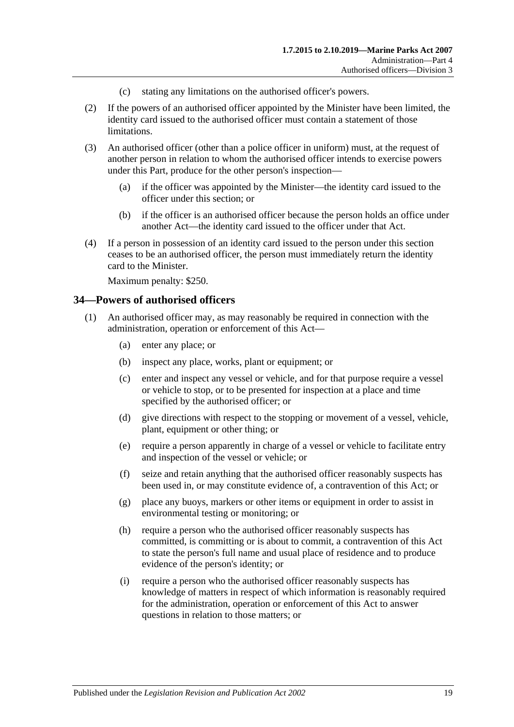- (c) stating any limitations on the authorised officer's powers.
- (2) If the powers of an authorised officer appointed by the Minister have been limited, the identity card issued to the authorised officer must contain a statement of those limitations.
- (3) An authorised officer (other than a police officer in uniform) must, at the request of another person in relation to whom the authorised officer intends to exercise powers under this Part, produce for the other person's inspection—
	- (a) if the officer was appointed by the Minister—the identity card issued to the officer under this section; or
	- (b) if the officer is an authorised officer because the person holds an office under another Act—the identity card issued to the officer under that Act.
- (4) If a person in possession of an identity card issued to the person under this section ceases to be an authorised officer, the person must immediately return the identity card to the Minister.

Maximum penalty: \$250.

#### <span id="page-18-1"></span><span id="page-18-0"></span>**34—Powers of authorised officers**

- <span id="page-18-2"></span>(1) An authorised officer may, as may reasonably be required in connection with the administration, operation or enforcement of this Act—
	- (a) enter any place; or
	- (b) inspect any place, works, plant or equipment; or
	- (c) enter and inspect any vessel or vehicle, and for that purpose require a vessel or vehicle to stop, or to be presented for inspection at a place and time specified by the authorised officer; or
	- (d) give directions with respect to the stopping or movement of a vessel, vehicle, plant, equipment or other thing; or
	- (e) require a person apparently in charge of a vessel or vehicle to facilitate entry and inspection of the vessel or vehicle; or
	- (f) seize and retain anything that the authorised officer reasonably suspects has been used in, or may constitute evidence of, a contravention of this Act; or
	- (g) place any buoys, markers or other items or equipment in order to assist in environmental testing or monitoring; or
	- (h) require a person who the authorised officer reasonably suspects has committed, is committing or is about to commit, a contravention of this Act to state the person's full name and usual place of residence and to produce evidence of the person's identity; or
	- (i) require a person who the authorised officer reasonably suspects has knowledge of matters in respect of which information is reasonably required for the administration, operation or enforcement of this Act to answer questions in relation to those matters; or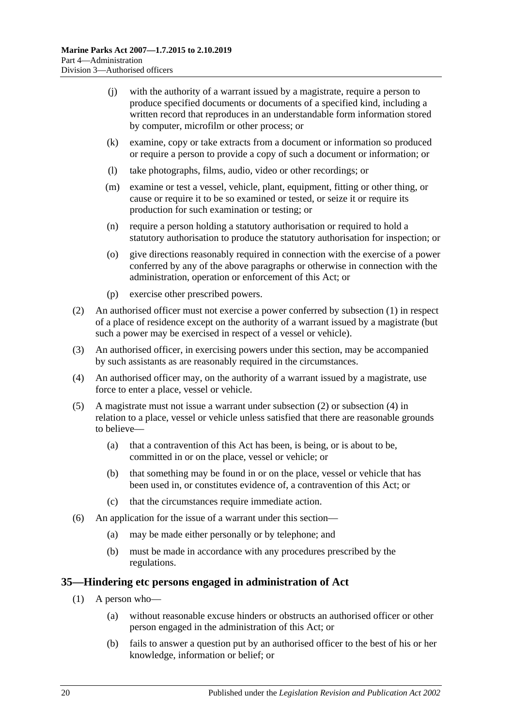- (j) with the authority of a warrant issued by a magistrate, require a person to produce specified documents or documents of a specified kind, including a written record that reproduces in an understandable form information stored by computer, microfilm or other process; or
- (k) examine, copy or take extracts from a document or information so produced or require a person to provide a copy of such a document or information; or
- (l) take photographs, films, audio, video or other recordings; or
- (m) examine or test a vessel, vehicle, plant, equipment, fitting or other thing, or cause or require it to be so examined or tested, or seize it or require its production for such examination or testing; or
- (n) require a person holding a statutory authorisation or required to hold a statutory authorisation to produce the statutory authorisation for inspection; or
- (o) give directions reasonably required in connection with the exercise of a power conferred by any of the above paragraphs or otherwise in connection with the administration, operation or enforcement of this Act; or
- (p) exercise other prescribed powers.
- <span id="page-19-1"></span>(2) An authorised officer must not exercise a power conferred by [subsection](#page-18-1) (1) in respect of a place of residence except on the authority of a warrant issued by a magistrate (but such a power may be exercised in respect of a vessel or vehicle).
- (3) An authorised officer, in exercising powers under this section, may be accompanied by such assistants as are reasonably required in the circumstances.
- <span id="page-19-2"></span>(4) An authorised officer may, on the authority of a warrant issued by a magistrate, use force to enter a place, vessel or vehicle.
- (5) A magistrate must not issue a warrant under [subsection](#page-19-1) (2) or [subsection](#page-19-2) (4) in relation to a place, vessel or vehicle unless satisfied that there are reasonable grounds to believe—
	- (a) that a contravention of this Act has been, is being, or is about to be, committed in or on the place, vessel or vehicle; or
	- (b) that something may be found in or on the place, vessel or vehicle that has been used in, or constitutes evidence of, a contravention of this Act; or
	- (c) that the circumstances require immediate action.
- (6) An application for the issue of a warrant under this section—
	- (a) may be made either personally or by telephone; and
	- (b) must be made in accordance with any procedures prescribed by the regulations.

#### <span id="page-19-0"></span>**35—Hindering etc persons engaged in administration of Act**

- (1) A person who—
	- (a) without reasonable excuse hinders or obstructs an authorised officer or other person engaged in the administration of this Act; or
	- (b) fails to answer a question put by an authorised officer to the best of his or her knowledge, information or belief; or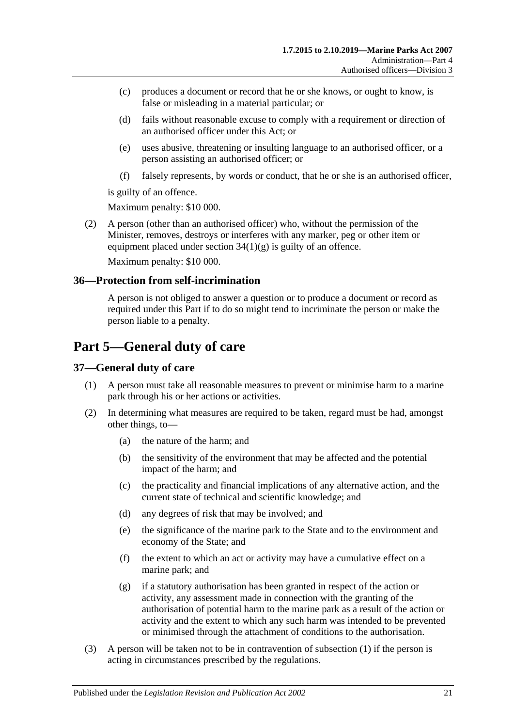- (c) produces a document or record that he or she knows, or ought to know, is false or misleading in a material particular; or
- (d) fails without reasonable excuse to comply with a requirement or direction of an authorised officer under this Act; or
- (e) uses abusive, threatening or insulting language to an authorised officer, or a person assisting an authorised officer; or
- (f) falsely represents, by words or conduct, that he or she is an authorised officer,

is guilty of an offence.

Maximum penalty: \$10 000.

(2) A person (other than an authorised officer) who, without the permission of the Minister, removes, destroys or interferes with any marker, peg or other item or equipment placed under section  $34(1)(g)$  is guilty of an offence.

Maximum penalty: \$10 000.

#### <span id="page-20-0"></span>**36—Protection from self-incrimination**

A person is not obliged to answer a question or to produce a document or record as required under this Part if to do so might tend to incriminate the person or make the person liable to a penalty.

## <span id="page-20-1"></span>**Part 5—General duty of care**

#### <span id="page-20-3"></span><span id="page-20-2"></span>**37—General duty of care**

- (1) A person must take all reasonable measures to prevent or minimise harm to a marine park through his or her actions or activities.
- (2) In determining what measures are required to be taken, regard must be had, amongst other things, to—
	- (a) the nature of the harm; and
	- (b) the sensitivity of the environment that may be affected and the potential impact of the harm; and
	- (c) the practicality and financial implications of any alternative action, and the current state of technical and scientific knowledge; and
	- (d) any degrees of risk that may be involved; and
	- (e) the significance of the marine park to the State and to the environment and economy of the State; and
	- (f) the extent to which an act or activity may have a cumulative effect on a marine park; and
	- (g) if a statutory authorisation has been granted in respect of the action or activity, any assessment made in connection with the granting of the authorisation of potential harm to the marine park as a result of the action or activity and the extent to which any such harm was intended to be prevented or minimised through the attachment of conditions to the authorisation.
- (3) A person will be taken not to be in contravention of [subsection](#page-20-3) (1) if the person is acting in circumstances prescribed by the regulations.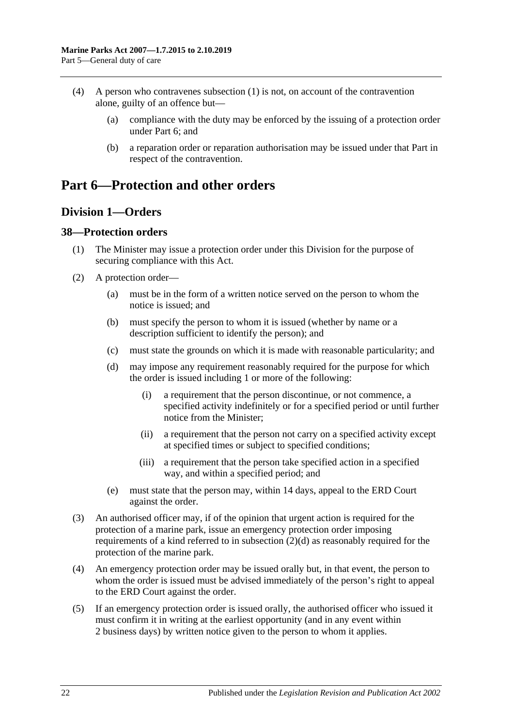- (4) A person who contravenes [subsection](#page-20-3) (1) is not, on account of the contravention alone, guilty of an offence but—
	- (a) compliance with the duty may be enforced by the issuing of a protection order under [Part 6;](#page-21-0) and
	- (b) a reparation order or reparation authorisation may be issued under that Part in respect of the contravention.

## <span id="page-21-0"></span>**Part 6—Protection and other orders**

## <span id="page-21-1"></span>**Division 1—Orders**

#### <span id="page-21-2"></span>**38—Protection orders**

- (1) The Minister may issue a protection order under this Division for the purpose of securing compliance with this Act.
- <span id="page-21-3"></span>(2) A protection order—
	- (a) must be in the form of a written notice served on the person to whom the notice is issued; and
	- (b) must specify the person to whom it is issued (whether by name or a description sufficient to identify the person); and
	- (c) must state the grounds on which it is made with reasonable particularity; and
	- (d) may impose any requirement reasonably required for the purpose for which the order is issued including 1 or more of the following:
		- (i) a requirement that the person discontinue, or not commence, a specified activity indefinitely or for a specified period or until further notice from the Minister;
		- (ii) a requirement that the person not carry on a specified activity except at specified times or subject to specified conditions;
		- (iii) a requirement that the person take specified action in a specified way, and within a specified period; and
	- (e) must state that the person may, within 14 days, appeal to the ERD Court against the order.
- (3) An authorised officer may, if of the opinion that urgent action is required for the protection of a marine park, issue an emergency protection order imposing requirements of a kind referred to in [subsection](#page-21-3) (2)(d) as reasonably required for the protection of the marine park.
- (4) An emergency protection order may be issued orally but, in that event, the person to whom the order is issued must be advised immediately of the person's right to appeal to the ERD Court against the order.
- (5) If an emergency protection order is issued orally, the authorised officer who issued it must confirm it in writing at the earliest opportunity (and in any event within 2 business days) by written notice given to the person to whom it applies.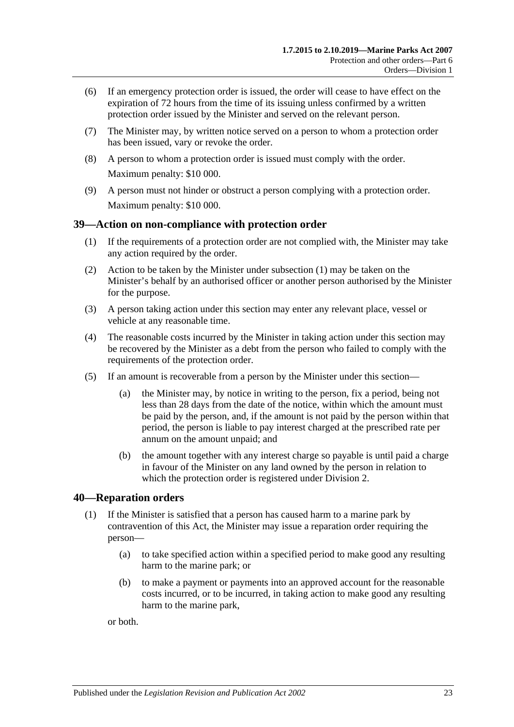- (6) If an emergency protection order is issued, the order will cease to have effect on the expiration of 72 hours from the time of its issuing unless confirmed by a written protection order issued by the Minister and served on the relevant person.
- (7) The Minister may, by written notice served on a person to whom a protection order has been issued, vary or revoke the order.
- (8) A person to whom a protection order is issued must comply with the order. Maximum penalty: \$10 000.
- (9) A person must not hinder or obstruct a person complying with a protection order. Maximum penalty: \$10 000.

#### <span id="page-22-2"></span><span id="page-22-0"></span>**39—Action on non-compliance with protection order**

- (1) If the requirements of a protection order are not complied with, the Minister may take any action required by the order.
- (2) Action to be taken by the Minister under [subsection](#page-22-2) (1) may be taken on the Minister's behalf by an authorised officer or another person authorised by the Minister for the purpose.
- (3) A person taking action under this section may enter any relevant place, vessel or vehicle at any reasonable time.
- (4) The reasonable costs incurred by the Minister in taking action under this section may be recovered by the Minister as a debt from the person who failed to comply with the requirements of the protection order.
- (5) If an amount is recoverable from a person by the Minister under this section—
	- (a) the Minister may, by notice in writing to the person, fix a period, being not less than 28 days from the date of the notice, within which the amount must be paid by the person, and, if the amount is not paid by the person within that period, the person is liable to pay interest charged at the prescribed rate per annum on the amount unpaid; and
	- (b) the amount together with any interest charge so payable is until paid a charge in favour of the Minister on any land owned by the person in relation to which the protection order is registered under [Division 2.](#page-26-0)

## <span id="page-22-1"></span>**40—Reparation orders**

- (1) If the Minister is satisfied that a person has caused harm to a marine park by contravention of this Act, the Minister may issue a reparation order requiring the person—
	- (a) to take specified action within a specified period to make good any resulting harm to the marine park; or
	- (b) to make a payment or payments into an approved account for the reasonable costs incurred, or to be incurred, in taking action to make good any resulting harm to the marine park,

or both.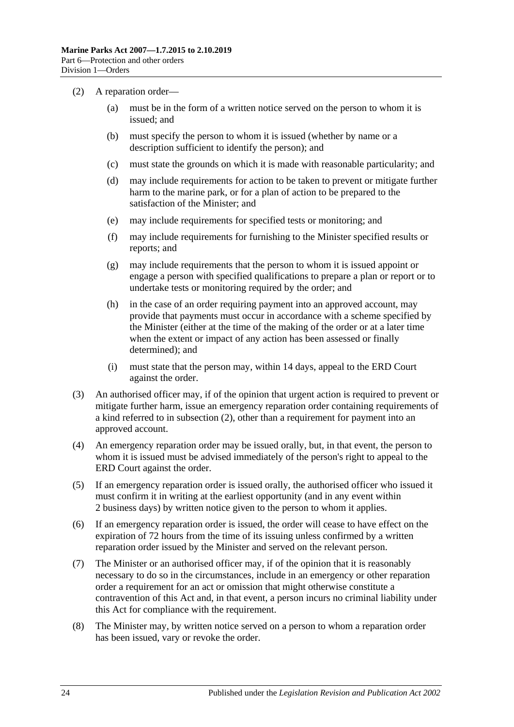- <span id="page-23-0"></span>(2) A reparation order—
	- (a) must be in the form of a written notice served on the person to whom it is issued; and
	- (b) must specify the person to whom it is issued (whether by name or a description sufficient to identify the person); and
	- (c) must state the grounds on which it is made with reasonable particularity; and
	- (d) may include requirements for action to be taken to prevent or mitigate further harm to the marine park, or for a plan of action to be prepared to the satisfaction of the Minister; and
	- (e) may include requirements for specified tests or monitoring; and
	- (f) may include requirements for furnishing to the Minister specified results or reports; and
	- (g) may include requirements that the person to whom it is issued appoint or engage a person with specified qualifications to prepare a plan or report or to undertake tests or monitoring required by the order; and
	- (h) in the case of an order requiring payment into an approved account, may provide that payments must occur in accordance with a scheme specified by the Minister (either at the time of the making of the order or at a later time when the extent or impact of any action has been assessed or finally determined); and
	- (i) must state that the person may, within 14 days, appeal to the ERD Court against the order.
- (3) An authorised officer may, if of the opinion that urgent action is required to prevent or mitigate further harm, issue an emergency reparation order containing requirements of a kind referred to in [subsection](#page-23-0) (2), other than a requirement for payment into an approved account.
- (4) An emergency reparation order may be issued orally, but, in that event, the person to whom it is issued must be advised immediately of the person's right to appeal to the ERD Court against the order.
- (5) If an emergency reparation order is issued orally, the authorised officer who issued it must confirm it in writing at the earliest opportunity (and in any event within 2 business days) by written notice given to the person to whom it applies.
- (6) If an emergency reparation order is issued, the order will cease to have effect on the expiration of 72 hours from the time of its issuing unless confirmed by a written reparation order issued by the Minister and served on the relevant person.
- (7) The Minister or an authorised officer may, if of the opinion that it is reasonably necessary to do so in the circumstances, include in an emergency or other reparation order a requirement for an act or omission that might otherwise constitute a contravention of this Act and, in that event, a person incurs no criminal liability under this Act for compliance with the requirement.
- (8) The Minister may, by written notice served on a person to whom a reparation order has been issued, vary or revoke the order.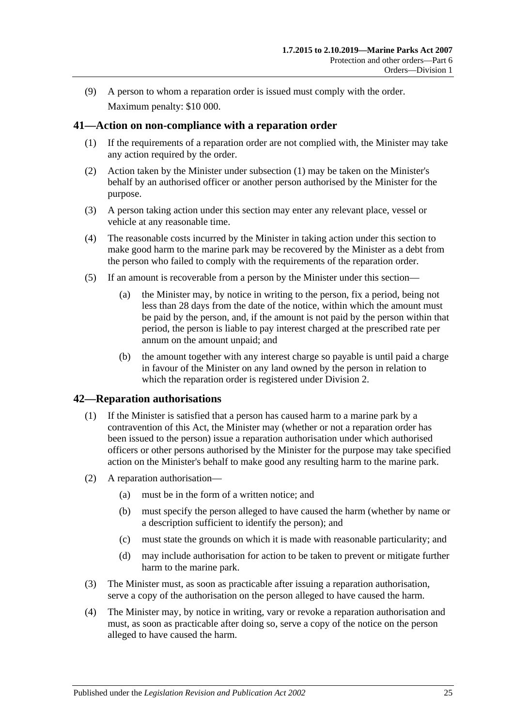(9) A person to whom a reparation order is issued must comply with the order. Maximum penalty: \$10 000.

#### <span id="page-24-2"></span><span id="page-24-0"></span>**41—Action on non-compliance with a reparation order**

- (1) If the requirements of a reparation order are not complied with, the Minister may take any action required by the order.
- (2) Action taken by the Minister under [subsection](#page-24-2) (1) may be taken on the Minister's behalf by an authorised officer or another person authorised by the Minister for the purpose.
- (3) A person taking action under this section may enter any relevant place, vessel or vehicle at any reasonable time.
- (4) The reasonable costs incurred by the Minister in taking action under this section to make good harm to the marine park may be recovered by the Minister as a debt from the person who failed to comply with the requirements of the reparation order.
- (5) If an amount is recoverable from a person by the Minister under this section—
	- (a) the Minister may, by notice in writing to the person, fix a period, being not less than 28 days from the date of the notice, within which the amount must be paid by the person, and, if the amount is not paid by the person within that period, the person is liable to pay interest charged at the prescribed rate per annum on the amount unpaid; and
	- (b) the amount together with any interest charge so payable is until paid a charge in favour of the Minister on any land owned by the person in relation to which the reparation order is registered under [Division 2.](#page-26-0)

#### <span id="page-24-3"></span><span id="page-24-1"></span>**42—Reparation authorisations**

- (1) If the Minister is satisfied that a person has caused harm to a marine park by a contravention of this Act, the Minister may (whether or not a reparation order has been issued to the person) issue a reparation authorisation under which authorised officers or other persons authorised by the Minister for the purpose may take specified action on the Minister's behalf to make good any resulting harm to the marine park.
- (2) A reparation authorisation—
	- (a) must be in the form of a written notice; and
	- (b) must specify the person alleged to have caused the harm (whether by name or a description sufficient to identify the person); and
	- (c) must state the grounds on which it is made with reasonable particularity; and
	- (d) may include authorisation for action to be taken to prevent or mitigate further harm to the marine park.
- (3) The Minister must, as soon as practicable after issuing a reparation authorisation, serve a copy of the authorisation on the person alleged to have caused the harm.
- (4) The Minister may, by notice in writing, vary or revoke a reparation authorisation and must, as soon as practicable after doing so, serve a copy of the notice on the person alleged to have caused the harm.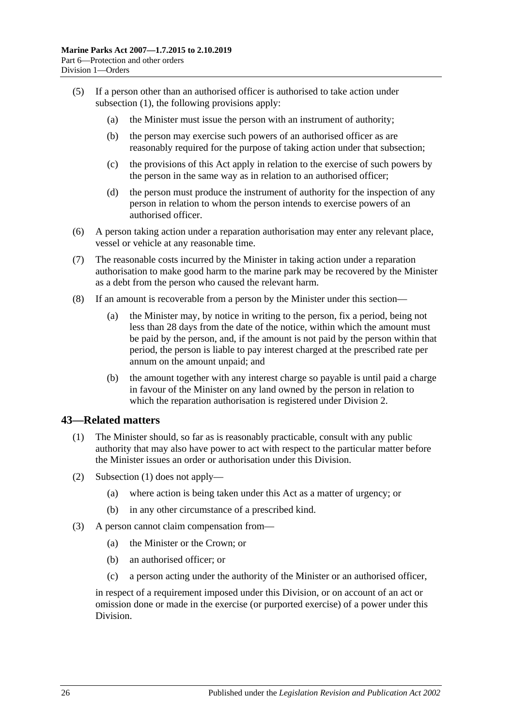- (5) If a person other than an authorised officer is authorised to take action under [subsection](#page-24-3) (1), the following provisions apply:
	- (a) the Minister must issue the person with an instrument of authority;
	- (b) the person may exercise such powers of an authorised officer as are reasonably required for the purpose of taking action under that subsection;
	- (c) the provisions of this Act apply in relation to the exercise of such powers by the person in the same way as in relation to an authorised officer;
	- (d) the person must produce the instrument of authority for the inspection of any person in relation to whom the person intends to exercise powers of an authorised officer.
- (6) A person taking action under a reparation authorisation may enter any relevant place, vessel or vehicle at any reasonable time.
- (7) The reasonable costs incurred by the Minister in taking action under a reparation authorisation to make good harm to the marine park may be recovered by the Minister as a debt from the person who caused the relevant harm.
- (8) If an amount is recoverable from a person by the Minister under this section—
	- (a) the Minister may, by notice in writing to the person, fix a period, being not less than 28 days from the date of the notice, within which the amount must be paid by the person, and, if the amount is not paid by the person within that period, the person is liable to pay interest charged at the prescribed rate per annum on the amount unpaid; and
	- (b) the amount together with any interest charge so payable is until paid a charge in favour of the Minister on any land owned by the person in relation to which the reparation authorisation is registered under [Division 2.](#page-26-0)

#### <span id="page-25-1"></span><span id="page-25-0"></span>**43—Related matters**

- (1) The Minister should, so far as is reasonably practicable, consult with any public authority that may also have power to act with respect to the particular matter before the Minister issues an order or authorisation under this Division.
- (2) [Subsection](#page-25-1) (1) does not apply—
	- (a) where action is being taken under this Act as a matter of urgency; or
	- (b) in any other circumstance of a prescribed kind.
- (3) A person cannot claim compensation from—
	- (a) the Minister or the Crown; or
	- (b) an authorised officer; or
	- (c) a person acting under the authority of the Minister or an authorised officer,

in respect of a requirement imposed under this Division, or on account of an act or omission done or made in the exercise (or purported exercise) of a power under this Division.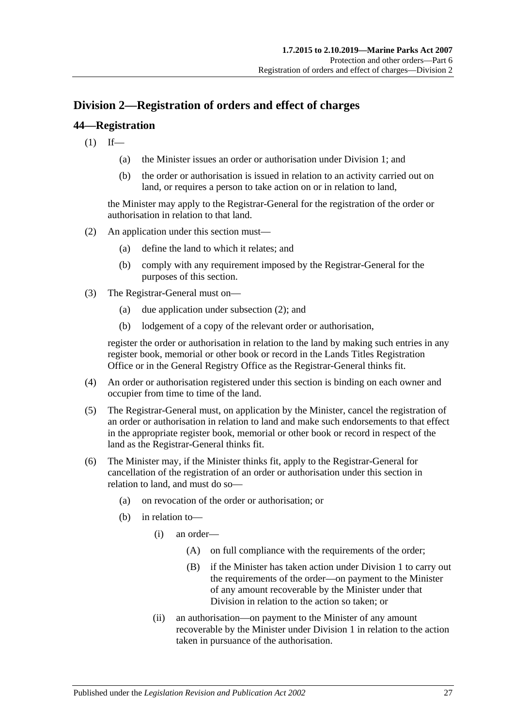## <span id="page-26-0"></span>**Division 2—Registration of orders and effect of charges**

### <span id="page-26-1"></span>**44—Registration**

 $(1)$  If—

- (a) the Minister issues an order or authorisation under [Division 1;](#page-21-1) and
- (b) the order or authorisation is issued in relation to an activity carried out on land, or requires a person to take action on or in relation to land,

the Minister may apply to the Registrar-General for the registration of the order or authorisation in relation to that land.

- <span id="page-26-2"></span>(2) An application under this section must—
	- (a) define the land to which it relates; and
	- (b) comply with any requirement imposed by the Registrar-General for the purposes of this section.
- (3) The Registrar-General must on—
	- (a) due application under [subsection](#page-26-2) (2); and
	- (b) lodgement of a copy of the relevant order or authorisation,

register the order or authorisation in relation to the land by making such entries in any register book, memorial or other book or record in the Lands Titles Registration Office or in the General Registry Office as the Registrar-General thinks fit.

- (4) An order or authorisation registered under this section is binding on each owner and occupier from time to time of the land.
- (5) The Registrar-General must, on application by the Minister, cancel the registration of an order or authorisation in relation to land and make such endorsements to that effect in the appropriate register book, memorial or other book or record in respect of the land as the Registrar-General thinks fit.
- (6) The Minister may, if the Minister thinks fit, apply to the Registrar-General for cancellation of the registration of an order or authorisation under this section in relation to land, and must do so—
	- (a) on revocation of the order or authorisation; or
	- (b) in relation to—
		- (i) an order—
			- (A) on full compliance with the requirements of the order;
			- (B) if the Minister has taken action under [Division 1](#page-21-1) to carry out the requirements of the order—on payment to the Minister of any amount recoverable by the Minister under that Division in relation to the action so taken; or
		- (ii) an authorisation—on payment to the Minister of any amount recoverable by the Minister under [Division 1](#page-21-1) in relation to the action taken in pursuance of the authorisation.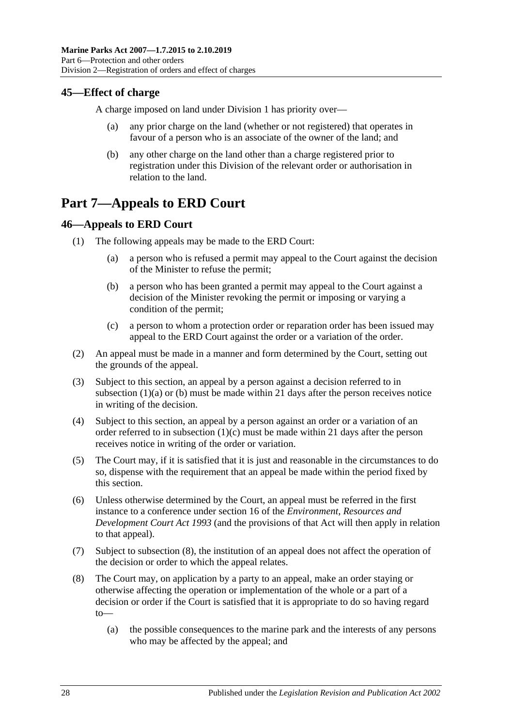## <span id="page-27-0"></span>**45—Effect of charge**

A charge imposed on land under [Division 1](#page-21-1) has priority over—

- any prior charge on the land (whether or not registered) that operates in favour of a person who is an associate of the owner of the land; and
- (b) any other charge on the land other than a charge registered prior to registration under this Division of the relevant order or authorisation in relation to the land.

## <span id="page-27-1"></span>**Part 7—Appeals to ERD Court**

### <span id="page-27-2"></span>**46—Appeals to ERD Court**

- <span id="page-27-4"></span><span id="page-27-3"></span>(1) The following appeals may be made to the ERD Court:
	- (a) a person who is refused a permit may appeal to the Court against the decision of the Minister to refuse the permit;
	- (b) a person who has been granted a permit may appeal to the Court against a decision of the Minister revoking the permit or imposing or varying a condition of the permit;
	- (c) a person to whom a protection order or reparation order has been issued may appeal to the ERD Court against the order or a variation of the order.
- <span id="page-27-5"></span>(2) An appeal must be made in a manner and form determined by the Court, setting out the grounds of the appeal.
- (3) Subject to this section, an appeal by a person against a decision referred to in [subsection](#page-27-3)  $(1)(a)$  or  $(b)$  must be made within 21 days after the person receives notice in writing of the decision.
- (4) Subject to this section, an appeal by a person against an order or a variation of an order referred to in [subsection](#page-27-5)  $(1)(c)$  must be made within 21 days after the person receives notice in writing of the order or variation.
- (5) The Court may, if it is satisfied that it is just and reasonable in the circumstances to do so, dispense with the requirement that an appeal be made within the period fixed by this section.
- (6) Unless otherwise determined by the Court, an appeal must be referred in the first instance to a conference under section 16 of the *[Environment, Resources and](http://www.legislation.sa.gov.au/index.aspx?action=legref&type=act&legtitle=Environment%20Resources%20and%20Development%20Court%20Act%201993)  [Development Court Act](http://www.legislation.sa.gov.au/index.aspx?action=legref&type=act&legtitle=Environment%20Resources%20and%20Development%20Court%20Act%201993) 1993* (and the provisions of that Act will then apply in relation to that appeal).
- (7) Subject to [subsection](#page-27-6) (8), the institution of an appeal does not affect the operation of the decision or order to which the appeal relates.
- <span id="page-27-6"></span>(8) The Court may, on application by a party to an appeal, make an order staying or otherwise affecting the operation or implementation of the whole or a part of a decision or order if the Court is satisfied that it is appropriate to do so having regard to—
	- (a) the possible consequences to the marine park and the interests of any persons who may be affected by the appeal; and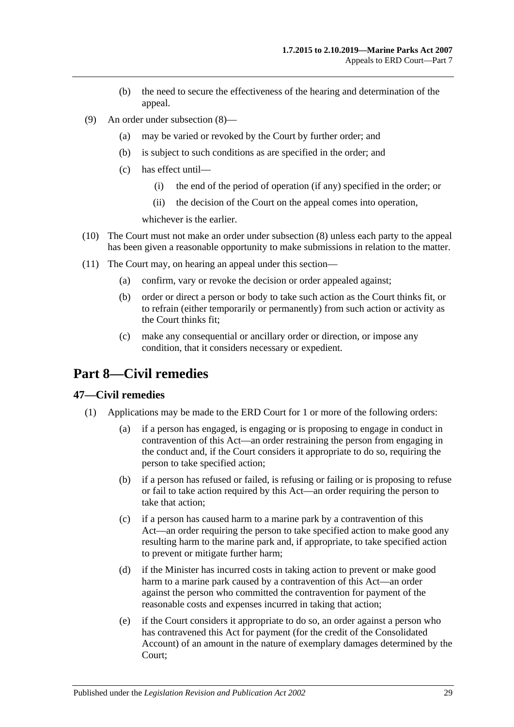- (b) the need to secure the effectiveness of the hearing and determination of the appeal.
- (9) An order under [subsection](#page-27-6) (8)—
	- (a) may be varied or revoked by the Court by further order; and
	- (b) is subject to such conditions as are specified in the order; and
	- (c) has effect until—
		- (i) the end of the period of operation (if any) specified in the order; or
		- (ii) the decision of the Court on the appeal comes into operation,

whichever is the earlier.

- (10) The Court must not make an order under [subsection](#page-27-6) (8) unless each party to the appeal has been given a reasonable opportunity to make submissions in relation to the matter.
- (11) The Court may, on hearing an appeal under this section—
	- (a) confirm, vary or revoke the decision or order appealed against;
	- (b) order or direct a person or body to take such action as the Court thinks fit, or to refrain (either temporarily or permanently) from such action or activity as the Court thinks fit;
	- (c) make any consequential or ancillary order or direction, or impose any condition, that it considers necessary or expedient.

## <span id="page-28-0"></span>**Part 8—Civil remedies**

#### <span id="page-28-2"></span><span id="page-28-1"></span>**47—Civil remedies**

- (1) Applications may be made to the ERD Court for 1 or more of the following orders:
	- (a) if a person has engaged, is engaging or is proposing to engage in conduct in contravention of this Act—an order restraining the person from engaging in the conduct and, if the Court considers it appropriate to do so, requiring the person to take specified action;
	- (b) if a person has refused or failed, is refusing or failing or is proposing to refuse or fail to take action required by this Act—an order requiring the person to take that action;
	- (c) if a person has caused harm to a marine park by a contravention of this Act—an order requiring the person to take specified action to make good any resulting harm to the marine park and, if appropriate, to take specified action to prevent or mitigate further harm;
	- (d) if the Minister has incurred costs in taking action to prevent or make good harm to a marine park caused by a contravention of this Act—an order against the person who committed the contravention for payment of the reasonable costs and expenses incurred in taking that action;
	- (e) if the Court considers it appropriate to do so, an order against a person who has contravened this Act for payment (for the credit of the Consolidated Account) of an amount in the nature of exemplary damages determined by the Court;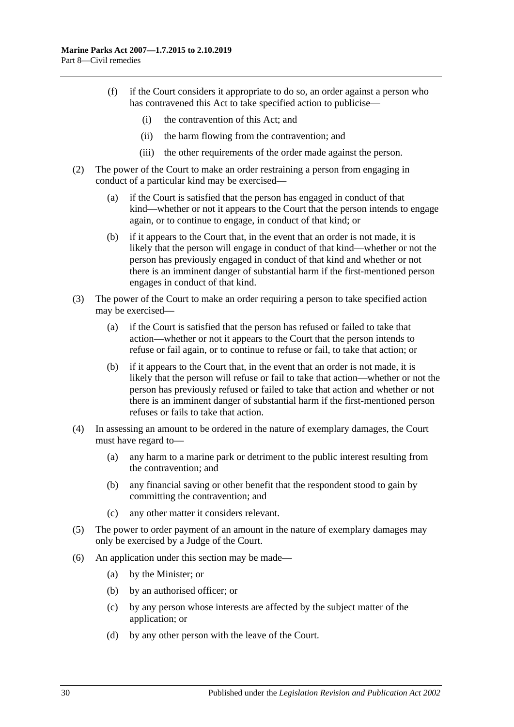- (f) if the Court considers it appropriate to do so, an order against a person who has contravened this Act to take specified action to publicise—
	- (i) the contravention of this Act; and
	- (ii) the harm flowing from the contravention; and
	- (iii) the other requirements of the order made against the person.
- (2) The power of the Court to make an order restraining a person from engaging in conduct of a particular kind may be exercised—
	- (a) if the Court is satisfied that the person has engaged in conduct of that kind—whether or not it appears to the Court that the person intends to engage again, or to continue to engage, in conduct of that kind; or
	- (b) if it appears to the Court that, in the event that an order is not made, it is likely that the person will engage in conduct of that kind—whether or not the person has previously engaged in conduct of that kind and whether or not there is an imminent danger of substantial harm if the first-mentioned person engages in conduct of that kind.
- (3) The power of the Court to make an order requiring a person to take specified action may be exercised—
	- (a) if the Court is satisfied that the person has refused or failed to take that action—whether or not it appears to the Court that the person intends to refuse or fail again, or to continue to refuse or fail, to take that action; or
	- (b) if it appears to the Court that, in the event that an order is not made, it is likely that the person will refuse or fail to take that action—whether or not the person has previously refused or failed to take that action and whether or not there is an imminent danger of substantial harm if the first-mentioned person refuses or fails to take that action.
- (4) In assessing an amount to be ordered in the nature of exemplary damages, the Court must have regard to—
	- (a) any harm to a marine park or detriment to the public interest resulting from the contravention; and
	- (b) any financial saving or other benefit that the respondent stood to gain by committing the contravention; and
	- (c) any other matter it considers relevant.
- (5) The power to order payment of an amount in the nature of exemplary damages may only be exercised by a Judge of the Court.
- <span id="page-29-0"></span>(6) An application under this section may be made—
	- (a) by the Minister; or
	- (b) by an authorised officer; or
	- (c) by any person whose interests are affected by the subject matter of the application; or
	- (d) by any other person with the leave of the Court.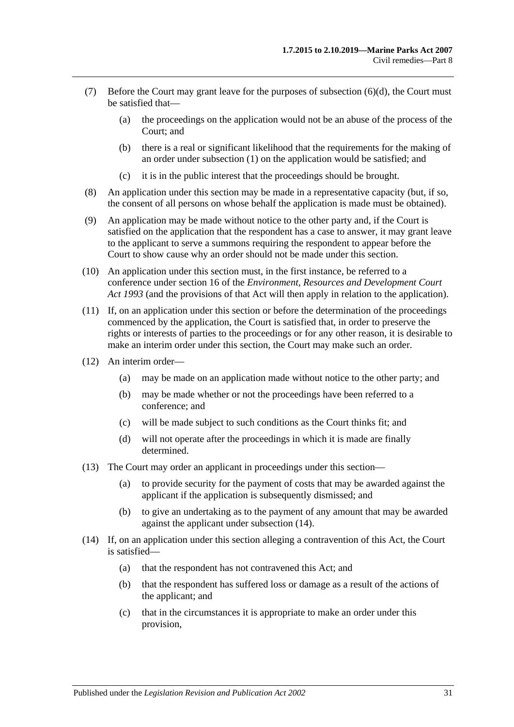- (7) Before the Court may grant leave for the purposes of [subsection](#page-29-0) (6)(d), the Court must be satisfied that—
	- (a) the proceedings on the application would not be an abuse of the process of the Court; and
	- (b) there is a real or significant likelihood that the requirements for the making of an order under [subsection](#page-28-2) (1) on the application would be satisfied; and
	- (c) it is in the public interest that the proceedings should be brought.
- (8) An application under this section may be made in a representative capacity (but, if so, the consent of all persons on whose behalf the application is made must be obtained).
- (9) An application may be made without notice to the other party and, if the Court is satisfied on the application that the respondent has a case to answer, it may grant leave to the applicant to serve a summons requiring the respondent to appear before the Court to show cause why an order should not be made under this section.
- (10) An application under this section must, in the first instance, be referred to a conference under section 16 of the *[Environment, Resources and Development Court](http://www.legislation.sa.gov.au/index.aspx?action=legref&type=act&legtitle=Environment%20Resources%20and%20Development%20Court%20Act%201993)  Act [1993](http://www.legislation.sa.gov.au/index.aspx?action=legref&type=act&legtitle=Environment%20Resources%20and%20Development%20Court%20Act%201993)* (and the provisions of that Act will then apply in relation to the application).
- (11) If, on an application under this section or before the determination of the proceedings commenced by the application, the Court is satisfied that, in order to preserve the rights or interests of parties to the proceedings or for any other reason, it is desirable to make an interim order under this section, the Court may make such an order.
- (12) An interim order—
	- (a) may be made on an application made without notice to the other party; and
	- (b) may be made whether or not the proceedings have been referred to a conference; and
	- (c) will be made subject to such conditions as the Court thinks fit; and
	- (d) will not operate after the proceedings in which it is made are finally determined.
- (13) The Court may order an applicant in proceedings under this section—
	- (a) to provide security for the payment of costs that may be awarded against the applicant if the application is subsequently dismissed; and
	- (b) to give an undertaking as to the payment of any amount that may be awarded against the applicant under [subsection](#page-30-0) (14).
- <span id="page-30-0"></span>(14) If, on an application under this section alleging a contravention of this Act, the Court is satisfied—
	- (a) that the respondent has not contravened this Act; and
	- (b) that the respondent has suffered loss or damage as a result of the actions of the applicant; and
	- (c) that in the circumstances it is appropriate to make an order under this provision,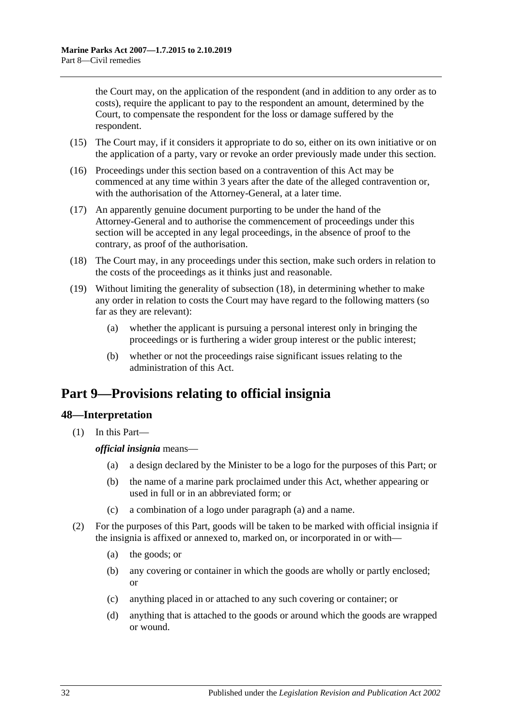the Court may, on the application of the respondent (and in addition to any order as to costs), require the applicant to pay to the respondent an amount, determined by the Court, to compensate the respondent for the loss or damage suffered by the respondent.

- (15) The Court may, if it considers it appropriate to do so, either on its own initiative or on the application of a party, vary or revoke an order previously made under this section.
- (16) Proceedings under this section based on a contravention of this Act may be commenced at any time within 3 years after the date of the alleged contravention or, with the authorisation of the Attorney-General, at a later time.
- (17) An apparently genuine document purporting to be under the hand of the Attorney-General and to authorise the commencement of proceedings under this section will be accepted in any legal proceedings, in the absence of proof to the contrary, as proof of the authorisation.
- <span id="page-31-2"></span>(18) The Court may, in any proceedings under this section, make such orders in relation to the costs of the proceedings as it thinks just and reasonable.
- (19) Without limiting the generality of [subsection](#page-31-2) (18), in determining whether to make any order in relation to costs the Court may have regard to the following matters (so far as they are relevant):
	- (a) whether the applicant is pursuing a personal interest only in bringing the proceedings or is furthering a wider group interest or the public interest;
	- (b) whether or not the proceedings raise significant issues relating to the administration of this Act.

## <span id="page-31-0"></span>**Part 9—Provisions relating to official insignia**

## <span id="page-31-1"></span>**48—Interpretation**

<span id="page-31-3"></span>(1) In this Part—

*official insignia* means—

- (a) a design declared by the Minister to be a logo for the purposes of this Part; or
- (b) the name of a marine park proclaimed under this Act, whether appearing or used in full or in an abbreviated form; or
- (c) a combination of a logo under [paragraph](#page-31-3) (a) and a name.
- (2) For the purposes of this Part, goods will be taken to be marked with official insignia if the insignia is affixed or annexed to, marked on, or incorporated in or with—
	- (a) the goods; or
	- (b) any covering or container in which the goods are wholly or partly enclosed; or
	- (c) anything placed in or attached to any such covering or container; or
	- (d) anything that is attached to the goods or around which the goods are wrapped or wound.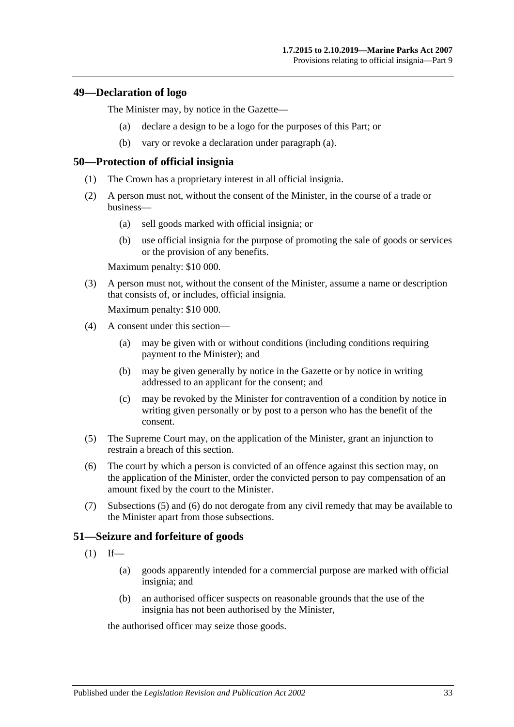#### <span id="page-32-3"></span><span id="page-32-0"></span>**49—Declaration of logo**

The Minister may, by notice in the Gazette—

- (a) declare a design to be a logo for the purposes of this Part; or
- (b) vary or revoke a declaration under [paragraph](#page-32-3) (a).

#### <span id="page-32-1"></span>**50—Protection of official insignia**

- (1) The Crown has a proprietary interest in all official insignia.
- <span id="page-32-6"></span>(2) A person must not, without the consent of the Minister, in the course of a trade or business—
	- (a) sell goods marked with official insignia; or
	- (b) use official insignia for the purpose of promoting the sale of goods or services or the provision of any benefits.

Maximum penalty: \$10 000.

(3) A person must not, without the consent of the Minister, assume a name or description that consists of, or includes, official insignia.

Maximum penalty: \$10 000.

- (4) A consent under this section—
	- (a) may be given with or without conditions (including conditions requiring payment to the Minister); and
	- (b) may be given generally by notice in the Gazette or by notice in writing addressed to an applicant for the consent; and
	- (c) may be revoked by the Minister for contravention of a condition by notice in writing given personally or by post to a person who has the benefit of the consent.
- <span id="page-32-4"></span>(5) The Supreme Court may, on the application of the Minister, grant an injunction to restrain a breach of this section.
- <span id="page-32-5"></span>(6) The court by which a person is convicted of an offence against this section may, on the application of the Minister, order the convicted person to pay compensation of an amount fixed by the court to the Minister.
- (7) [Subsections](#page-32-4) (5) and [\(6\)](#page-32-5) do not derogate from any civil remedy that may be available to the Minister apart from those subsections.

#### <span id="page-32-2"></span>**51—Seizure and forfeiture of goods**

- $(1)$  If—
	- (a) goods apparently intended for a commercial purpose are marked with official insignia; and
	- (b) an authorised officer suspects on reasonable grounds that the use of the insignia has not been authorised by the Minister,

the authorised officer may seize those goods.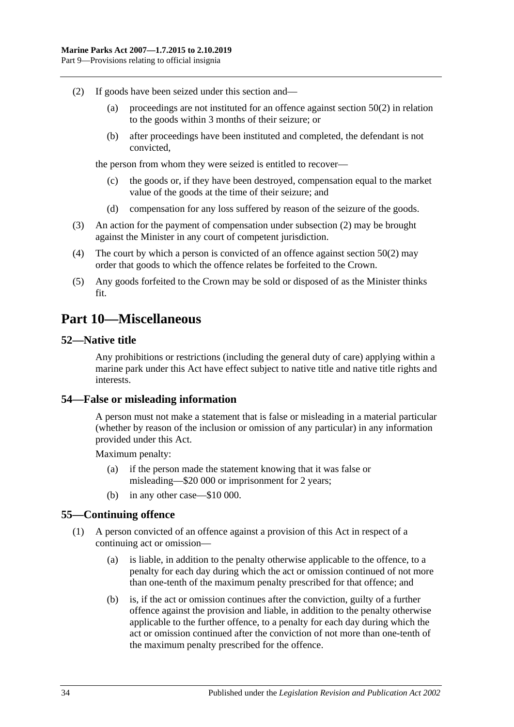- <span id="page-33-4"></span>(2) If goods have been seized under this section and—
	- (a) proceedings are not instituted for an offence against [section](#page-32-6) 50(2) in relation to the goods within 3 months of their seizure; or
	- (b) after proceedings have been instituted and completed, the defendant is not convicted,

the person from whom they were seized is entitled to recover—

- (c) the goods or, if they have been destroyed, compensation equal to the market value of the goods at the time of their seizure; and
- (d) compensation for any loss suffered by reason of the seizure of the goods.
- (3) An action for the payment of compensation under [subsection](#page-33-4) (2) may be brought against the Minister in any court of competent jurisdiction.
- (4) The court by which a person is convicted of an offence against [section](#page-32-6) 50(2) may order that goods to which the offence relates be forfeited to the Crown.
- (5) Any goods forfeited to the Crown may be sold or disposed of as the Minister thinks fit.

## <span id="page-33-0"></span>**Part 10—Miscellaneous**

#### <span id="page-33-1"></span>**52—Native title**

Any prohibitions or restrictions (including the general duty of care) applying within a marine park under this Act have effect subject to native title and native title rights and interests.

#### <span id="page-33-2"></span>**54—False or misleading information**

A person must not make a statement that is false or misleading in a material particular (whether by reason of the inclusion or omission of any particular) in any information provided under this Act.

Maximum penalty:

- (a) if the person made the statement knowing that it was false or misleading—\$20 000 or imprisonment for 2 years;
- (b) in any other case—\$10 000.

#### <span id="page-33-3"></span>**55—Continuing offence**

- (1) A person convicted of an offence against a provision of this Act in respect of a continuing act or omission—
	- (a) is liable, in addition to the penalty otherwise applicable to the offence, to a penalty for each day during which the act or omission continued of not more than one-tenth of the maximum penalty prescribed for that offence; and
	- (b) is, if the act or omission continues after the conviction, guilty of a further offence against the provision and liable, in addition to the penalty otherwise applicable to the further offence, to a penalty for each day during which the act or omission continued after the conviction of not more than one-tenth of the maximum penalty prescribed for the offence.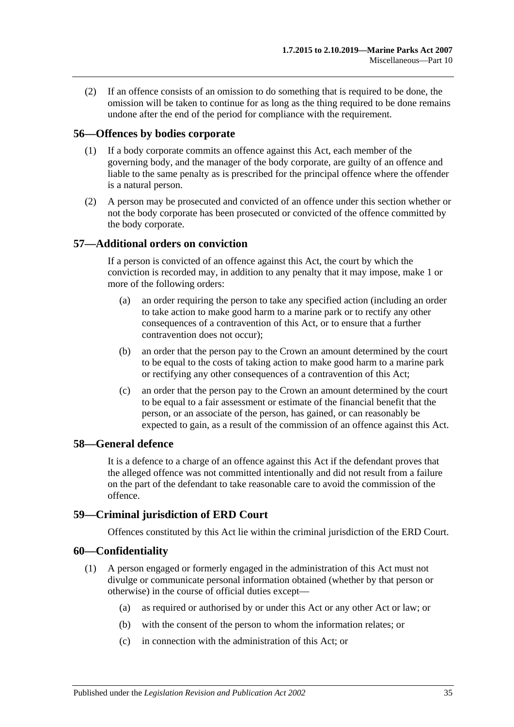(2) If an offence consists of an omission to do something that is required to be done, the omission will be taken to continue for as long as the thing required to be done remains undone after the end of the period for compliance with the requirement.

#### <span id="page-34-0"></span>**56—Offences by bodies corporate**

- (1) If a body corporate commits an offence against this Act, each member of the governing body, and the manager of the body corporate, are guilty of an offence and liable to the same penalty as is prescribed for the principal offence where the offender is a natural person.
- (2) A person may be prosecuted and convicted of an offence under this section whether or not the body corporate has been prosecuted or convicted of the offence committed by the body corporate.

#### <span id="page-34-1"></span>**57—Additional orders on conviction**

If a person is convicted of an offence against this Act, the court by which the conviction is recorded may, in addition to any penalty that it may impose, make 1 or more of the following orders:

- (a) an order requiring the person to take any specified action (including an order to take action to make good harm to a marine park or to rectify any other consequences of a contravention of this Act, or to ensure that a further contravention does not occur);
- (b) an order that the person pay to the Crown an amount determined by the court to be equal to the costs of taking action to make good harm to a marine park or rectifying any other consequences of a contravention of this Act;
- (c) an order that the person pay to the Crown an amount determined by the court to be equal to a fair assessment or estimate of the financial benefit that the person, or an associate of the person, has gained, or can reasonably be expected to gain, as a result of the commission of an offence against this Act.

#### <span id="page-34-2"></span>**58—General defence**

It is a defence to a charge of an offence against this Act if the defendant proves that the alleged offence was not committed intentionally and did not result from a failure on the part of the defendant to take reasonable care to avoid the commission of the offence.

#### <span id="page-34-3"></span>**59—Criminal jurisdiction of ERD Court**

Offences constituted by this Act lie within the criminal jurisdiction of the ERD Court.

#### <span id="page-34-5"></span><span id="page-34-4"></span>**60—Confidentiality**

- (1) A person engaged or formerly engaged in the administration of this Act must not divulge or communicate personal information obtained (whether by that person or otherwise) in the course of official duties except—
	- (a) as required or authorised by or under this Act or any other Act or law; or
	- (b) with the consent of the person to whom the information relates; or
	- (c) in connection with the administration of this Act; or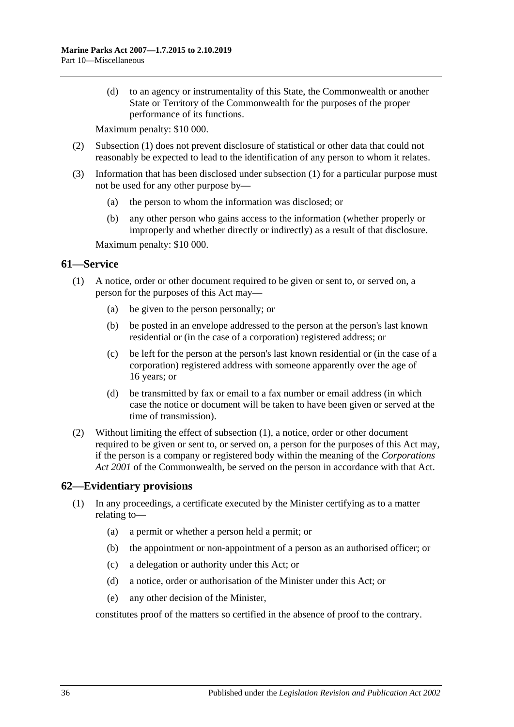(d) to an agency or instrumentality of this State, the Commonwealth or another State or Territory of the Commonwealth for the purposes of the proper performance of its functions.

Maximum penalty: \$10 000.

- (2) [Subsection](#page-34-5) (1) does not prevent disclosure of statistical or other data that could not reasonably be expected to lead to the identification of any person to whom it relates.
- (3) Information that has been disclosed under [subsection](#page-34-5) (1) for a particular purpose must not be used for any other purpose by—
	- (a) the person to whom the information was disclosed; or
	- (b) any other person who gains access to the information (whether properly or improperly and whether directly or indirectly) as a result of that disclosure.

Maximum penalty: \$10 000.

#### <span id="page-35-2"></span><span id="page-35-0"></span>**61—Service**

- (1) A notice, order or other document required to be given or sent to, or served on, a person for the purposes of this Act may—
	- (a) be given to the person personally; or
	- (b) be posted in an envelope addressed to the person at the person's last known residential or (in the case of a corporation) registered address; or
	- (c) be left for the person at the person's last known residential or (in the case of a corporation) registered address with someone apparently over the age of 16 years; or
	- (d) be transmitted by fax or email to a fax number or email address (in which case the notice or document will be taken to have been given or served at the time of transmission).
- (2) Without limiting the effect of [subsection](#page-35-2) (1), a notice, order or other document required to be given or sent to, or served on, a person for the purposes of this Act may, if the person is a company or registered body within the meaning of the *Corporations Act 2001* of the Commonwealth, be served on the person in accordance with that Act.

#### <span id="page-35-1"></span>**62—Evidentiary provisions**

- (1) In any proceedings, a certificate executed by the Minister certifying as to a matter relating to—
	- (a) a permit or whether a person held a permit; or
	- (b) the appointment or non-appointment of a person as an authorised officer; or
	- (c) a delegation or authority under this Act; or
	- (d) a notice, order or authorisation of the Minister under this Act; or
	- (e) any other decision of the Minister,

constitutes proof of the matters so certified in the absence of proof to the contrary.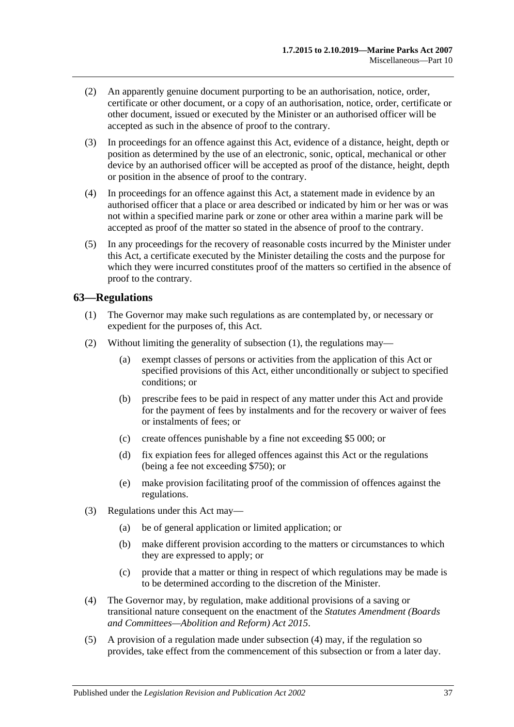- (2) An apparently genuine document purporting to be an authorisation, notice, order, certificate or other document, or a copy of an authorisation, notice, order, certificate or other document, issued or executed by the Minister or an authorised officer will be accepted as such in the absence of proof to the contrary.
- (3) In proceedings for an offence against this Act, evidence of a distance, height, depth or position as determined by the use of an electronic, sonic, optical, mechanical or other device by an authorised officer will be accepted as proof of the distance, height, depth or position in the absence of proof to the contrary.
- (4) In proceedings for an offence against this Act, a statement made in evidence by an authorised officer that a place or area described or indicated by him or her was or was not within a specified marine park or zone or other area within a marine park will be accepted as proof of the matter so stated in the absence of proof to the contrary.
- (5) In any proceedings for the recovery of reasonable costs incurred by the Minister under this Act, a certificate executed by the Minister detailing the costs and the purpose for which they were incurred constitutes proof of the matters so certified in the absence of proof to the contrary.

#### <span id="page-36-1"></span><span id="page-36-0"></span>**63—Regulations**

- (1) The Governor may make such regulations as are contemplated by, or necessary or expedient for the purposes of, this Act.
- (2) Without limiting the generality of [subsection](#page-36-1) (1), the regulations may—
	- (a) exempt classes of persons or activities from the application of this Act or specified provisions of this Act, either unconditionally or subject to specified conditions; or
	- (b) prescribe fees to be paid in respect of any matter under this Act and provide for the payment of fees by instalments and for the recovery or waiver of fees or instalments of fees; or
	- (c) create offences punishable by a fine not exceeding \$5 000; or
	- (d) fix expiation fees for alleged offences against this Act or the regulations (being a fee not exceeding \$750); or
	- (e) make provision facilitating proof of the commission of offences against the regulations.
- (3) Regulations under this Act may—
	- (a) be of general application or limited application; or
	- (b) make different provision according to the matters or circumstances to which they are expressed to apply; or
	- (c) provide that a matter or thing in respect of which regulations may be made is to be determined according to the discretion of the Minister.
- <span id="page-36-2"></span>(4) The Governor may, by regulation, make additional provisions of a saving or transitional nature consequent on the enactment of the *[Statutes Amendment \(Boards](http://www.legislation.sa.gov.au/index.aspx?action=legref&type=act&legtitle=Statutes%20Amendment%20(Boards%20and%20Committees%E2%80%94Abolition%20and%20Reform)%20Act%202015)  [and Committees—Abolition and Reform\) Act](http://www.legislation.sa.gov.au/index.aspx?action=legref&type=act&legtitle=Statutes%20Amendment%20(Boards%20and%20Committees%E2%80%94Abolition%20and%20Reform)%20Act%202015) 2015*.
- <span id="page-36-3"></span>(5) A provision of a regulation made under [subsection](#page-36-2) (4) may, if the regulation so provides, take effect from the commencement of this subsection or from a later day.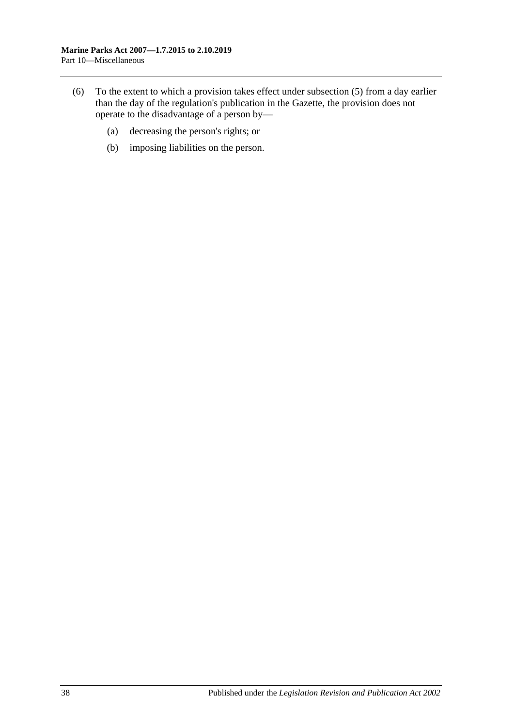- (6) To the extent to which a provision takes effect under [subsection](#page-36-3) (5) from a day earlier than the day of the regulation's publication in the Gazette, the provision does not operate to the disadvantage of a person by—
	- (a) decreasing the person's rights; or
	- (b) imposing liabilities on the person.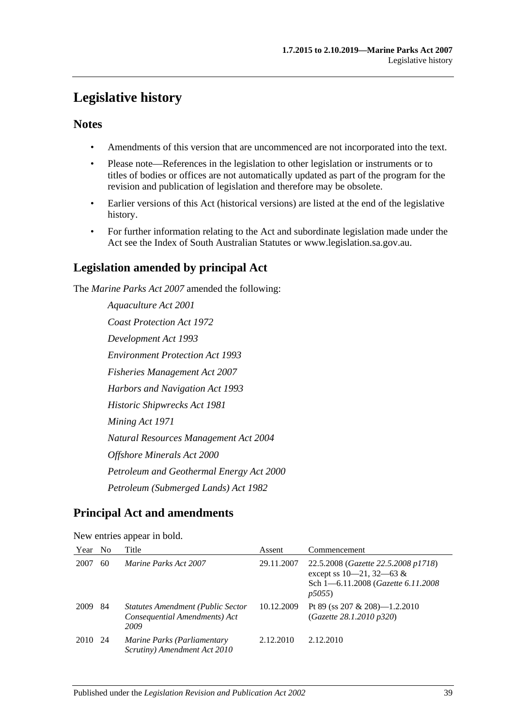## <span id="page-38-0"></span>**Legislative history**

### **Notes**

- Amendments of this version that are uncommenced are not incorporated into the text.
- Please note—References in the legislation to other legislation or instruments or to titles of bodies or offices are not automatically updated as part of the program for the revision and publication of legislation and therefore may be obsolete.
- Earlier versions of this Act (historical versions) are listed at the end of the legislative history.
- For further information relating to the Act and subordinate legislation made under the Act see the Index of South Australian Statutes or www.legislation.sa.gov.au.

## **Legislation amended by principal Act**

The *Marine Parks Act 2007* amended the following:

*Aquaculture Act 2001 Coast Protection Act 1972 Development Act 1993 Environment Protection Act 1993 Fisheries Management Act 2007 Harbors and Navigation Act 1993 Historic Shipwrecks Act 1981 Mining Act 1971 Natural Resources Management Act 2004 Offshore Minerals Act 2000 Petroleum and Geothermal Energy Act 2000 Petroleum (Submerged Lands) Act 1982*

## **Principal Act and amendments**

| Year | N <sub>0</sub> | Title                                                                             | Assent     | Commencement                                                                                                         |
|------|----------------|-----------------------------------------------------------------------------------|------------|----------------------------------------------------------------------------------------------------------------------|
| 2007 | 60             | Marine Parks Act 2007                                                             | 29.11.2007 | 22.5.2008 (Gazette 22.5.2008 p1718)<br>except ss $10-21$ , $32-63$ &<br>Sch 1-6.11.2008 (Gazette 6.11.2008)<br>p5055 |
| 2009 | 84             | <b>Statutes Amendment (Public Sector</b><br>Consequential Amendments) Act<br>2009 | 10.12.2009 | Pt 89 (ss 207 & 208)—1.2.2010<br>(Gazette 28.1.2010 p320)                                                            |
| 2010 | -24            | Marine Parks (Parliamentary<br>Scrutiny) Amendment Act 2010                       | 2.12.2010  | 2.12.2010                                                                                                            |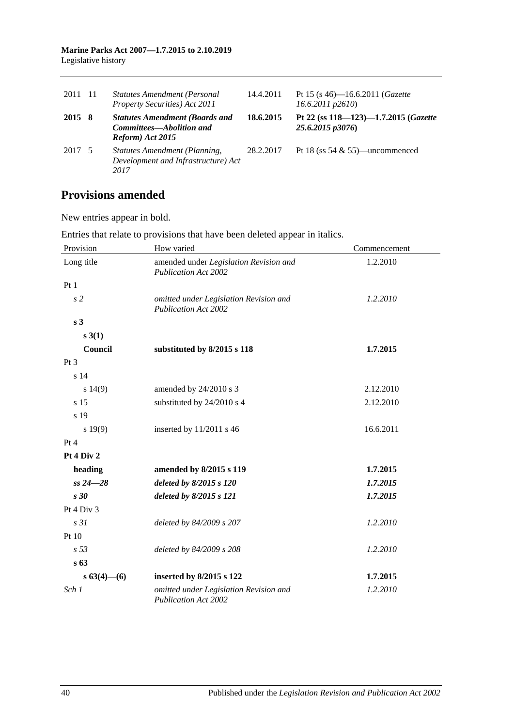#### **Marine Parks Act 2007—1.7.2015 to 2.10.2019** Legislative history

| 2011 11 | <b>Statutes Amendment (Personal</b><br>Property Securities) Act 2011                  | 14.4.2011 | Pt 15 (s 46)—16.6.2011 ( <i>Gazette</i><br>$16.6.2011$ $p2610$ |
|---------|---------------------------------------------------------------------------------------|-----------|----------------------------------------------------------------|
| 2015 8  | <b>Statutes Amendment (Boards and</b><br>Committees—Abolition and<br>Reform) Act 2015 | 18.6.2015 | Pt 22 (ss 118-123)-1.7.2015 (Gazette<br>25.6.2015 p3076)       |
| 2017 5  | Statutes Amendment (Planning,<br>Development and Infrastructure) Act<br>2017          | 28.2.2017 | Pt 18 (ss $54 \& 55$ )—uncommenced                             |

## **Provisions amended**

New entries appear in bold.

| Provision        | How varied                                                            | Commencement |
|------------------|-----------------------------------------------------------------------|--------------|
| Long title       | amended under Legislation Revision and<br><b>Publication Act 2002</b> | 1.2.2010     |
| Pt 1             |                                                                       |              |
| s <sub>2</sub>   | omitted under Legislation Revision and<br><b>Publication Act 2002</b> | 1.2.2010     |
| s <sub>3</sub>   |                                                                       |              |
| s(3(1))          |                                                                       |              |
| Council          | substituted by 8/2015 s 118                                           | 1.7.2015     |
| Pt <sub>3</sub>  |                                                                       |              |
| s 14             |                                                                       |              |
| $s\ 14(9)$       | amended by 24/2010 s 3                                                | 2.12.2010    |
| s 15             | substituted by 24/2010 s 4                                            | 2.12.2010    |
| s 19             |                                                                       |              |
| s 19(9)          | inserted by 11/2011 s 46                                              | 16.6.2011    |
| Pt 4             |                                                                       |              |
| Pt 4 Div 2       |                                                                       |              |
| heading          | amended by 8/2015 s 119                                               | 1.7.2015     |
| $ss 24 - 28$     | deleted by 8/2015 s 120                                               | 1.7.2015     |
| s30              | deleted by 8/2015 s 121                                               | 1.7.2015     |
| Pt 4 Div 3       |                                                                       |              |
| s31              | deleted by 84/2009 s 207                                              | 1.2.2010     |
| Pt 10            |                                                                       |              |
| s <sub>53</sub>  | deleted by 84/2009 s 208                                              | 1.2.2010     |
| s <sub>63</sub>  |                                                                       |              |
| $s\,63(4)$ - (6) | inserted by 8/2015 s 122                                              | 1.7.2015     |
| Sch 1            | omitted under Legislation Revision and<br><b>Publication Act 2002</b> | 1.2.2010     |

Entries that relate to provisions that have been deleted appear in italics.